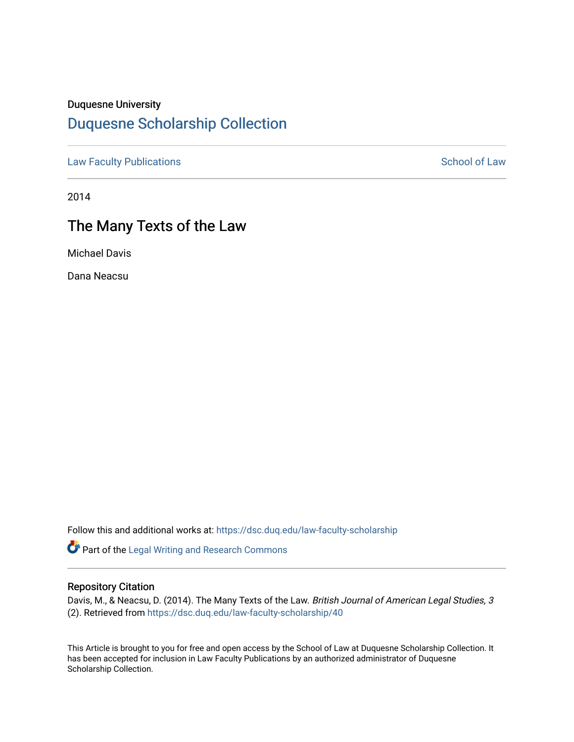## Duquesne University

# [Duquesne Scholarship Collection](https://dsc.duq.edu/)

[Law Faculty Publications](https://dsc.duq.edu/law-faculty-scholarship) **School of Law** School of Law

2014

# The Many Texts of the Law

Michael Davis

Dana Neacsu

Follow this and additional works at: [https://dsc.duq.edu/law-faculty-scholarship](https://dsc.duq.edu/law-faculty-scholarship?utm_source=dsc.duq.edu%2Flaw-faculty-scholarship%2F40&utm_medium=PDF&utm_campaign=PDFCoverPages)

Part of the [Legal Writing and Research Commons](http://network.bepress.com/hgg/discipline/614?utm_source=dsc.duq.edu%2Flaw-faculty-scholarship%2F40&utm_medium=PDF&utm_campaign=PDFCoverPages) 

#### Repository Citation

Davis, M., & Neacsu, D. (2014). The Many Texts of the Law. British Journal of American Legal Studies, 3 (2). Retrieved from [https://dsc.duq.edu/law-faculty-scholarship/40](https://dsc.duq.edu/law-faculty-scholarship/40?utm_source=dsc.duq.edu%2Flaw-faculty-scholarship%2F40&utm_medium=PDF&utm_campaign=PDFCoverPages)

This Article is brought to you for free and open access by the School of Law at Duquesne Scholarship Collection. It has been accepted for inclusion in Law Faculty Publications by an authorized administrator of Duquesne Scholarship Collection.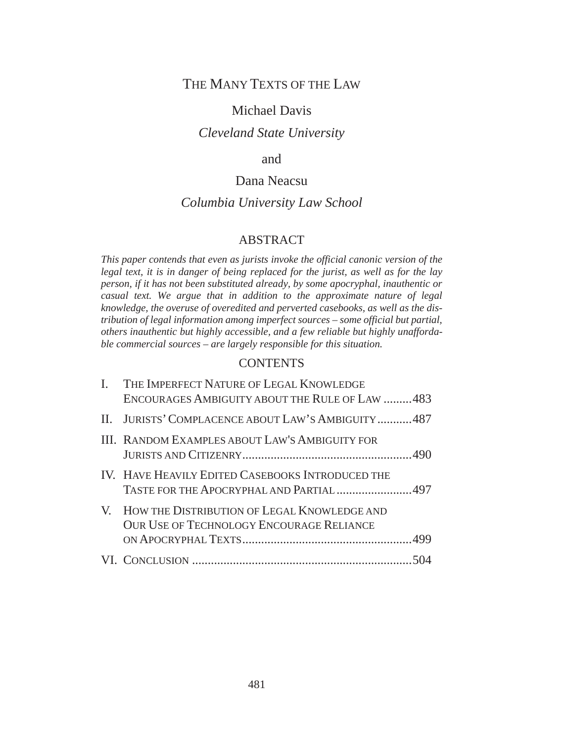## THE MANY TEXTS OF THE LAW

## Michael Davis

## *Cleveland State University*

### and

## Dana Neacsu

## *Columbia University Law School*

#### ABSTRACT

*This paper contends that even as jurists invoke the official canonic version of the legal text, it is in danger of being replaced for the jurist, as well as for the lay person, if it has not been substituted already, by some apocryphal, inauthentic or casual text. We argue that in addition to the approximate nature of legal knowledge, the overuse of overedited and perverted casebooks, as well as the distribution of legal information among imperfect sources – some official but partial, others inauthentic but highly accessible, and a few reliable but highly unaffordable commercial sources – are largely responsible for this situation.*

### **CONTENTS**

| $\mathbf{L}$ | THE IMPERFECT NATURE OF LEGAL KNOWLEDGE<br>ENCOURAGES AMBIGUITY ABOUT THE RULE OF LAW 483         |
|--------------|---------------------------------------------------------------------------------------------------|
|              | II. JURISTS' COMPLACENCE ABOUT LAW'S AMBIGUITY487                                                 |
|              | III. RANDOM EXAMPLES ABOUT LAW'S AMBIGUITY FOR                                                    |
|              | IV. HAVE HEAVILY EDITED CASEBOOKS INTRODUCED THE<br>TASTE FOR THE APOCRYPHAL AND PARTIAL 497      |
|              | V. HOW THE DISTRIBUTION OF LEGAL KNOWLEDGE AND<br><b>OUR USE OF TECHNOLOGY ENCOURAGE RELIANCE</b> |
|              |                                                                                                   |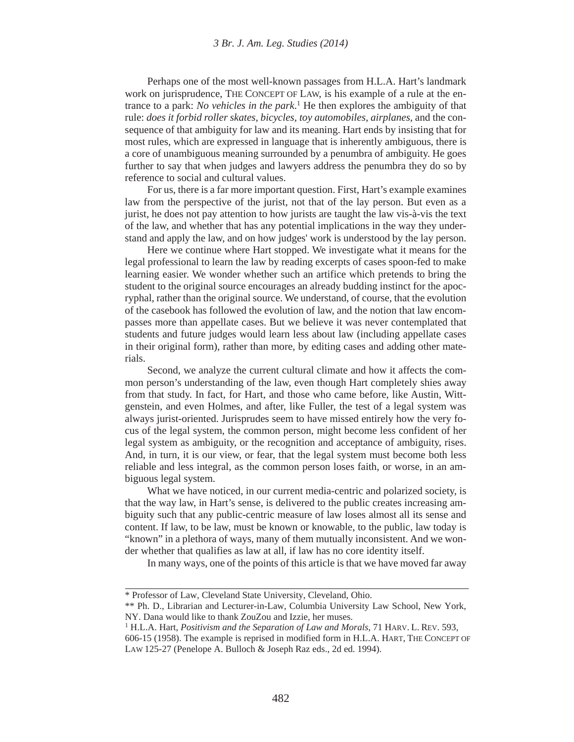Perhaps one of the most well-known passages from H.L.A. Hart's landmark work on jurisprudence, THE CONCEPT OF LAW, is his example of a rule at the entrance to a park: *No vehicles in the park*. 1 He then explores the ambiguity of that rule: *does it forbid roller skates, bicycles, toy automobiles, airplanes*, and the consequence of that ambiguity for law and its meaning. Hart ends by insisting that for most rules, which are expressed in language that is inherently ambiguous, there is a core of unambiguous meaning surrounded by a penumbra of ambiguity. He goes further to say that when judges and lawyers address the penumbra they do so by reference to social and cultural values.

For us, there is a far more important question. First, Hart's example examines law from the perspective of the jurist, not that of the lay person. But even as a jurist, he does not pay attention to how jurists are taught the law vis-à-vis the text of the law, and whether that has any potential implications in the way they understand and apply the law, and on how judges' work is understood by the lay person.

Here we continue where Hart stopped. We investigate what it means for the legal professional to learn the law by reading excerpts of cases spoon-fed to make learning easier. We wonder whether such an artifice which pretends to bring the student to the original source encourages an already budding instinct for the apocryphal, rather than the original source. We understand, of course, that the evolution of the casebook has followed the evolution of law, and the notion that law encompasses more than appellate cases. But we believe it was never contemplated that students and future judges would learn less about law (including appellate cases in their original form), rather than more, by editing cases and adding other materials.

Second, we analyze the current cultural climate and how it affects the common person's understanding of the law, even though Hart completely shies away from that study. In fact, for Hart, and those who came before, like Austin, Wittgenstein, and even Holmes, and after, like Fuller, the test of a legal system was always jurist-oriented. Jurisprudes seem to have missed entirely how the very focus of the legal system, the common person, might become less confident of her legal system as ambiguity, or the recognition and acceptance of ambiguity, rises. And, in turn, it is our view, or fear, that the legal system must become both less reliable and less integral, as the common person loses faith, or worse, in an ambiguous legal system.

What we have noticed, in our current media-centric and polarized society, is that the way law, in Hart's sense, is delivered to the public creates increasing ambiguity such that any public-centric measure of law loses almost all its sense and content. If law, to be law, must be known or knowable, to the public, law today is "known" in a plethora of ways, many of them mutually inconsistent. And we wonder whether that qualifies as law at all, if law has no core identity itself.

In many ways, one of the points of this article is that we have moved far away

<sup>\*</sup> Professor of Law, Cleveland State University, Cleveland, Ohio.

<sup>\*\*</sup> Ph. D., Librarian and Lecturer-in-Law, Columbia University Law School, New York, NY. Dana would like to thank ZouZou and Izzie, her muses.

<sup>1</sup> H.L.A. Hart, *Positivism and the Separation of Law and Morals*, 71 HARV. L. REV. 593,

<sup>606-15 (1958).</sup> The example is reprised in modified form in H.L.A. HART, THE CONCEPT OF LAW 125-27 (Penelope A. Bulloch & Joseph Raz eds., 2d ed. 1994).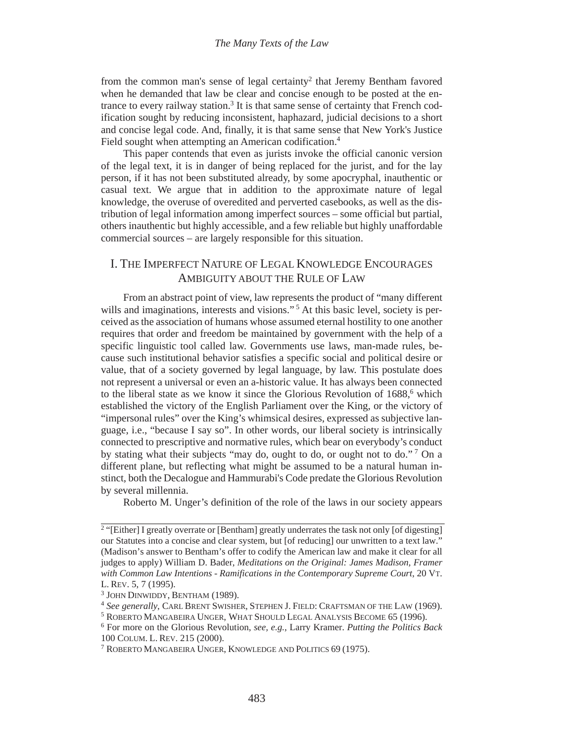from the common man's sense of legal certainty<sup>2</sup> that Jeremy Bentham favored when he demanded that law be clear and concise enough to be posted at the entrance to every railway station.<sup>3</sup> It is that same sense of certainty that French codification sought by reducing inconsistent, haphazard, judicial decisions to a short and concise legal code. And, finally, it is that same sense that New York's Justice Field sought when attempting an American codification.<sup>4</sup>

This paper contends that even as jurists invoke the official canonic version of the legal text, it is in danger of being replaced for the jurist, and for the lay person, if it has not been substituted already, by some apocryphal, inauthentic or casual text. We argue that in addition to the approximate nature of legal knowledge, the overuse of overedited and perverted casebooks, as well as the distribution of legal information among imperfect sources – some official but partial, others inauthentic but highly accessible, and a few reliable but highly unaffordable commercial sources – are largely responsible for this situation.

## I. THE IMPERFECT NATURE OF LEGAL KNOWLEDGE ENCOURAGES AMBIGUITY ABOUT THE RULE OF LAW

From an abstract point of view, law represents the product of "many different wills and imaginations, interests and visions."<sup>5</sup> At this basic level, society is perceived as the association of humans whose assumed eternal hostility to one another requires that order and freedom be maintained by government with the help of a specific linguistic tool called law. Governments use laws, man-made rules, because such institutional behavior satisfies a specific social and political desire or value, that of a society governed by legal language, by law. This postulate does not represent a universal or even an a-historic value. It has always been connected to the liberal state as we know it since the Glorious Revolution of 1688,<sup>6</sup> which established the victory of the English Parliament over the King, or the victory of "impersonal rules" over the King's whimsical desires, expressed as subjective language, i.e., "because I say so". In other words, our liberal society is intrinsically connected to prescriptive and normative rules, which bear on everybody's conduct by stating what their subjects "may do, ought to do, or ought not to do." 7 On a different plane, but reflecting what might be assumed to be a natural human instinct, both the Decalogue and Hammurabi's Code predate the Glorious Revolution by several millennia.

Roberto M. Unger's definition of the role of the laws in our society appears

<sup>&</sup>lt;sup>2</sup> "[Either] I greatly overrate or [Bentham] greatly underrates the task not only [of digesting] our Statutes into a concise and clear system, but [of reducing] our unwritten to a text law." (Madison's answer to Bentham's offer to codify the American law and make it clear for all judges to apply) William D. Bader, *Meditations on the Original: James Madison, Framer with Common Law Intentions - Ramifications in the Contemporary Supreme Court*, 20 VT. L. REV. 5, 7 (1995).

<sup>3</sup> JOHN DINWIDDY, BENTHAM (1989).

<sup>4</sup> *See generally*, CARL BRENT SWISHER, STEPHEN J. FIELD: CRAFTSMAN OF THE LAW (1969).

<sup>&</sup>lt;sup>5</sup> ROBERTO MANGABEIRA UNGER, WHAT SHOULD LEGAL ANALYSIS BECOME 65 (1996).

<sup>&</sup>lt;sup>6</sup> For more on the Glorious Revolution, *see, e.g.*, Larry Kramer. *Putting the Politics Back* 100 COLUM. L. REV. 215 (2000). 7 ROBERTO MANGABEIRA UNGER, KNOWLEDGE AND POLITICS 69 (1975).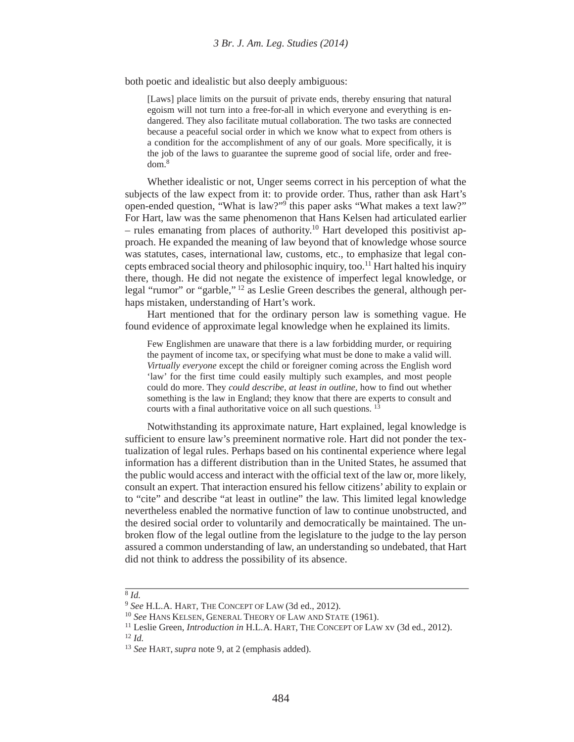both poetic and idealistic but also deeply ambiguous:

[Laws] place limits on the pursuit of private ends, thereby ensuring that natural egoism will not turn into a free-for-all in which everyone and everything is endangered. They also facilitate mutual collaboration. The two tasks are connected because a peaceful social order in which we know what to expect from others is a condition for the accomplishment of any of our goals. More specifically, it is the job of the laws to guarantee the supreme good of social life, order and freedom.8

Whether idealistic or not, Unger seems correct in his perception of what the subjects of the law expect from it: to provide order. Thus, rather than ask Hart's open-ended question, "What is law?"9 this paper asks "What makes a text law?" For Hart, law was the same phenomenon that Hans Kelsen had articulated earlier – rules emanating from places of authority.<sup>10</sup> Hart developed this positivist approach. He expanded the meaning of law beyond that of knowledge whose source was statutes, cases, international law, customs, etc., to emphasize that legal concepts embraced social theory and philosophic inquiry, too.<sup>11</sup> Hart halted his inquiry there, though. He did not negate the existence of imperfect legal knowledge, or legal "rumor" or "garble," 12 as Leslie Green describes the general, although perhaps mistaken, understanding of Hart's work.

Hart mentioned that for the ordinary person law is something vague. He found evidence of approximate legal knowledge when he explained its limits.

Few Englishmen are unaware that there is a law forbidding murder, or requiring the payment of income tax, or specifying what must be done to make a valid will. *Virtually everyone* except the child or foreigner coming across the English word 'law' for the first time could easily multiply such examples, and most people could do more. They *could describe, at least in outline,* how to find out whether something is the law in England; they know that there are experts to consult and courts with a final authoritative voice on all such questions. <sup>13</sup>

Notwithstanding its approximate nature, Hart explained, legal knowledge is sufficient to ensure law's preeminent normative role. Hart did not ponder the textualization of legal rules. Perhaps based on his continental experience where legal information has a different distribution than in the United States, he assumed that the public would access and interact with the official text of the law or, more likely, consult an expert. That interaction ensured his fellow citizens' ability to explain or to "cite" and describe "at least in outline" the law. This limited legal knowledge nevertheless enabled the normative function of law to continue unobstructed, and the desired social order to voluntarily and democratically be maintained. The unbroken flow of the legal outline from the legislature to the judge to the lay person assured a common understanding of law, an understanding so undebated, that Hart did not think to address the possibility of its absence.

#### $\overline{\frac{8}{d}}$ .

<sup>9</sup> *See* H.L.A. HART, THE CONCEPT OF LAW (3d ed., 2012).

<sup>10</sup> *See* HANS KELSEN, GENERAL THEORY OF LAW AND STATE (1961).

<sup>&</sup>lt;sup>11</sup> Leslie Green, *Introduction in* H.L.A. HART, THE CONCEPT OF LAW xv (3d ed., 2012). <sup>12</sup> *Id.*

<sup>13</sup> *See* HART, *supra* note 9, at 2 (emphasis added).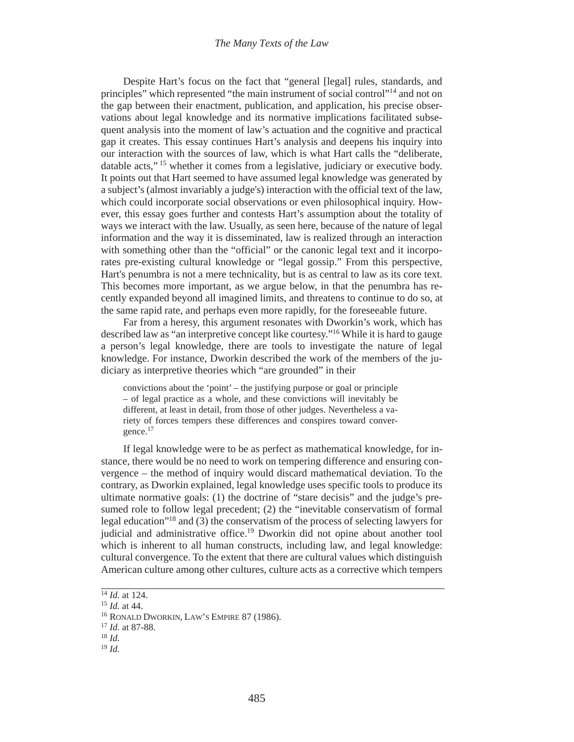#### *The Many Texts of the Law*

Despite Hart's focus on the fact that "general [legal] rules, standards, and principles" which represented "the main instrument of social control"14 and not on the gap between their enactment, publication, and application, his precise observations about legal knowledge and its normative implications facilitated subsequent analysis into the moment of law's actuation and the cognitive and practical gap it creates. This essay continues Hart's analysis and deepens his inquiry into our interaction with the sources of law, which is what Hart calls the "deliberate, datable acts," 15 whether it comes from a legislative, judiciary or executive body. It points out that Hart seemed to have assumed legal knowledge was generated by a subject's (almost invariably a judge's) interaction with the official text of the law, which could incorporate social observations or even philosophical inquiry. However, this essay goes further and contests Hart's assumption about the totality of ways we interact with the law. Usually, as seen here, because of the nature of legal information and the way it is disseminated, law is realized through an interaction with something other than the "official" or the canonic legal text and it incorporates pre-existing cultural knowledge or "legal gossip." From this perspective, Hart's penumbra is not a mere technicality, but is as central to law as its core text. This becomes more important, as we argue below, in that the penumbra has recently expanded beyond all imagined limits, and threatens to continue to do so, at the same rapid rate, and perhaps even more rapidly, for the foreseeable future.

Far from a heresy, this argument resonates with Dworkin's work, which has described law as "an interpretive concept like courtesy."16 While it is hard to gauge a person's legal knowledge, there are tools to investigate the nature of legal knowledge. For instance, Dworkin described the work of the members of the judiciary as interpretive theories which "are grounded" in their

convictions about the 'point' – the justifying purpose or goal or principle – of legal practice as a whole, and these convictions will inevitably be different, at least in detail, from those of other judges. Nevertheless a variety of forces tempers these differences and conspires toward convergence.<sup>17</sup>

If legal knowledge were to be as perfect as mathematical knowledge, for instance, there would be no need to work on tempering difference and ensuring convergence – the method of inquiry would discard mathematical deviation. To the contrary, as Dworkin explained, legal knowledge uses specific tools to produce its ultimate normative goals: (1) the doctrine of "stare decisis" and the judge's presumed role to follow legal precedent; (2) the "inevitable conservatism of formal legal education"18 and (3) the conservatism of the process of selecting lawyers for judicial and administrative office.19 Dworkin did not opine about another tool which is inherent to all human constructs, including law, and legal knowledge: cultural convergence. To the extent that there are cultural values which distinguish American culture among other cultures, culture acts as a corrective which tempers

<sup>14</sup> *Id.* at 124.

<sup>15</sup> *Id.* at 44.

<sup>16</sup> RONALD DWORKIN, LAW'S EMPIRE 87 (1986).

<sup>17</sup> *Id.* at 87-88.

<sup>18</sup> *Id.*

<sup>19</sup> *Id.*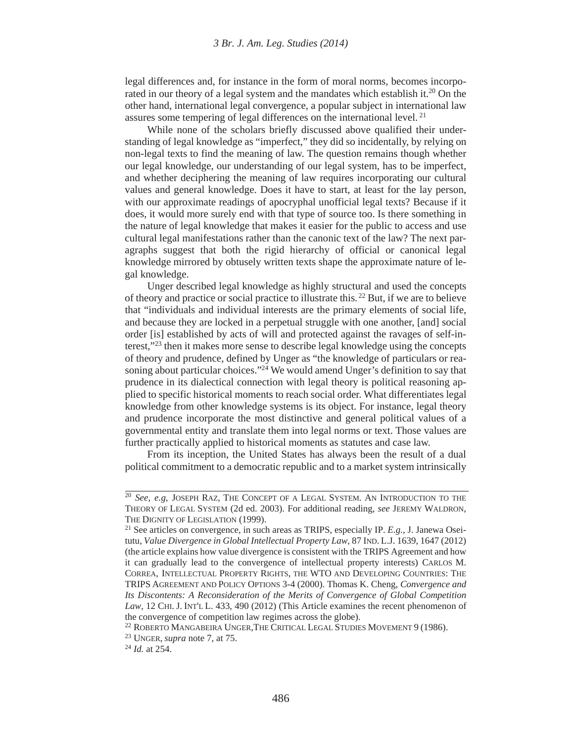legal differences and, for instance in the form of moral norms, becomes incorporated in our theory of a legal system and the mandates which establish it.20 On the other hand, international legal convergence, a popular subject in international law assures some tempering of legal differences on the international level. 21

While none of the scholars briefly discussed above qualified their understanding of legal knowledge as "imperfect," they did so incidentally, by relying on non-legal texts to find the meaning of law. The question remains though whether our legal knowledge, our understanding of our legal system, has to be imperfect, and whether deciphering the meaning of law requires incorporating our cultural values and general knowledge. Does it have to start, at least for the lay person, with our approximate readings of apocryphal unofficial legal texts? Because if it does, it would more surely end with that type of source too. Is there something in the nature of legal knowledge that makes it easier for the public to access and use cultural legal manifestations rather than the canonic text of the law? The next paragraphs suggest that both the rigid hierarchy of official or canonical legal knowledge mirrored by obtusely written texts shape the approximate nature of legal knowledge.

Unger described legal knowledge as highly structural and used the concepts of theory and practice or social practice to illustrate this. 22 But, if we are to believe that "individuals and individual interests are the primary elements of social life, and because they are locked in a perpetual struggle with one another, [and] social order [is] established by acts of will and protected against the ravages of self-interest,"23 then it makes more sense to describe legal knowledge using the concepts of theory and prudence, defined by Unger as "the knowledge of particulars or reasoning about particular choices."<sup>24</sup> We would amend Unger's definition to say that prudence in its dialectical connection with legal theory is political reasoning applied to specific historical moments to reach social order. What differentiates legal knowledge from other knowledge systems is its object. For instance, legal theory and prudence incorporate the most distinctive and general political values of a governmental entity and translate them into legal norms or text. Those values are further practically applied to historical moments as statutes and case law.

From its inception, the United States has always been the result of a dual political commitment to a democratic republic and to a market system intrinsically

<sup>20</sup> *See, e.g*, JOSEPH RAZ, THE CONCEPT OF A LEGAL SYSTEM. AN INTRODUCTION TO THE THEORY OF LEGAL SYSTEM (2d ed. 2003). For additional reading, *see* JEREMY WALDRON, THE DIGNITY OF LEGISLATION (1999).

<sup>21</sup> See articles on convergence, in such areas as TRIPS, especially IP. *E.g.*, J. Janewa Oseitutu, *Value Divergence in Global Intellectual Property Law*, 87 IND. L.J. 1639, 1647 (2012) (the article explains how value divergence is consistent with the TRIPS Agreement and how it can gradually lead to the convergence of intellectual property interests) CARLOS M. CORREA, INTELLECTUAL PROPERTY RIGHTS, THE WTO AND DEVELOPING COUNTRIES: THE TRIPS AGREEMENT AND POLICY OPTIONS 3-4 (2000). Thomas K. Cheng, *Convergence and Its Discontents: A Reconsideration of the Merits of Convergence of Global Competition Law*, 12 CHI. J. INT'L L. 433, 490 (2012) (This Article examines the recent phenomenon of the convergence of competition law regimes across the globe).

<sup>&</sup>lt;sup>22</sup> ROBERTO MANGABEIRA UNGER, THE CRITICAL LEGAL STUDIES MOVEMENT 9 (1986).

<sup>23</sup> UNGER, *supra* note 7, at 75.

<sup>24</sup> *Id.* at 254.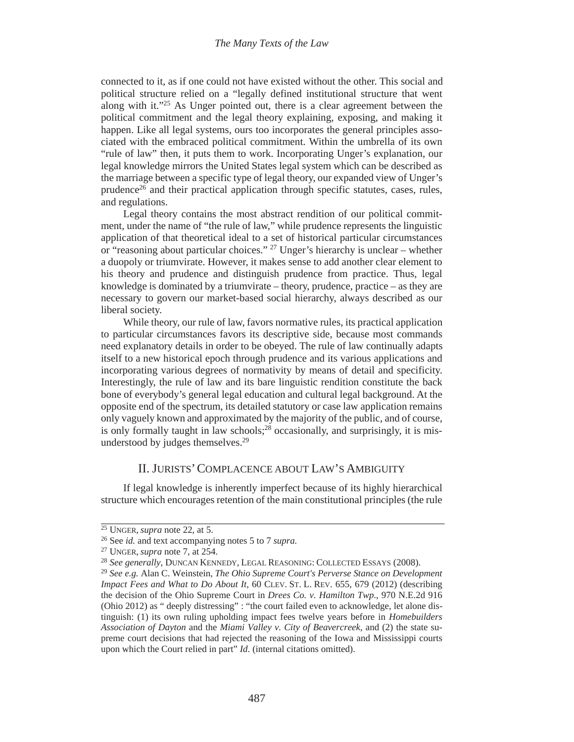connected to it, as if one could not have existed without the other. This social and political structure relied on a "legally defined institutional structure that went along with it."25 As Unger pointed out, there is a clear agreement between the political commitment and the legal theory explaining, exposing, and making it happen. Like all legal systems, ours too incorporates the general principles associated with the embraced political commitment. Within the umbrella of its own "rule of law" then, it puts them to work. Incorporating Unger's explanation, our legal knowledge mirrors the United States legal system which can be described as the marriage between a specific type of legal theory, our expanded view of Unger's prudence<sup>26</sup> and their practical application through specific statutes, cases, rules, and regulations.

Legal theory contains the most abstract rendition of our political commitment, under the name of "the rule of law," while prudence represents the linguistic application of that theoretical ideal to a set of historical particular circumstances or "reasoning about particular choices." <sup>27</sup> Unger's hierarchy is unclear – whether a duopoly or triumvirate. However, it makes sense to add another clear element to his theory and prudence and distinguish prudence from practice. Thus, legal knowledge is dominated by a triumvirate – theory, prudence, practice – as they are necessary to govern our market-based social hierarchy, always described as our liberal society.

While theory, our rule of law, favors normative rules, its practical application to particular circumstances favors its descriptive side, because most commands need explanatory details in order to be obeyed. The rule of law continually adapts itself to a new historical epoch through prudence and its various applications and incorporating various degrees of normativity by means of detail and specificity. Interestingly, the rule of law and its bare linguistic rendition constitute the back bone of everybody's general legal education and cultural legal background. At the opposite end of the spectrum, its detailed statutory or case law application remains only vaguely known and approximated by the majority of the public, and of course, is only formally taught in law schools;<sup>28</sup> occasionally, and surprisingly, it is misunderstood by judges themselves.<sup>29</sup>

#### II. JURISTS'COMPLACENCE ABOUT LAW'S AMBIGUITY

If legal knowledge is inherently imperfect because of its highly hierarchical structure which encourages retention of the main constitutional principles (the rule

<sup>&</sup>lt;sup>25</sup> UNGER, *supra* note 22, at 5.

<sup>26</sup> See *id.* and text accompanying notes 5 to 7 *supra.*

<sup>27</sup> UNGER, *supra* note 7, at 254.

<sup>28</sup> *See generally*, DUNCAN KENNEDY, LEGAL REASONING: COLLECTED ESSAYS (2008).

<sup>29</sup> *See e.g.* Alan C. Weinstein, *The Ohio Supreme Court's Perverse Stance on Development Impact Fees and What to Do About It*, 60 CLEV. ST. L. REV. 655, 679 (2012) (describing the decision of the Ohio Supreme Court in *Drees Co. v. Hamilton Twp*., 970 N.E.2d 916 (Ohio 2012) as " deeply distressing" : "the court failed even to acknowledge, let alone distinguish: (1) its own ruling upholding impact fees twelve years before in *Homebuilders Association of Dayton* and the *Miami Valley v. City of Beavercreek*, and (2) the state supreme court decisions that had rejected the reasoning of the Iowa and Mississippi courts upon which the Court relied in part" *Id*. (internal citations omitted).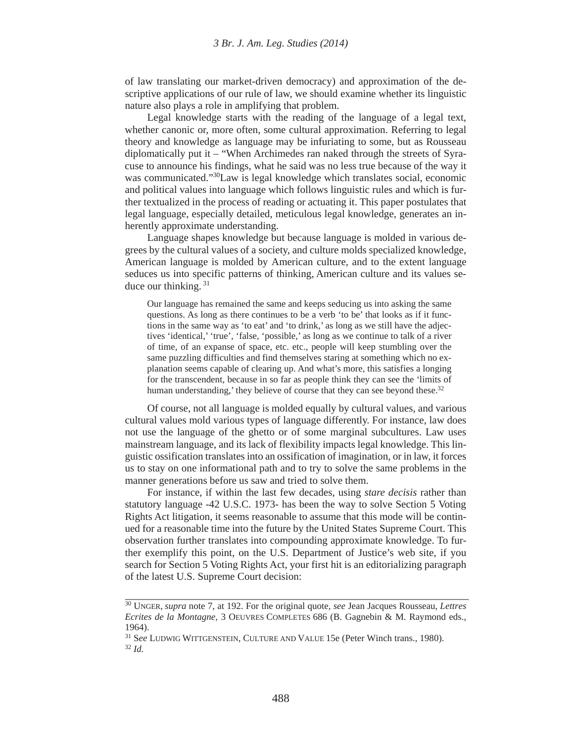of law translating our market-driven democracy) and approximation of the descriptive applications of our rule of law, we should examine whether its linguistic nature also plays a role in amplifying that problem.

Legal knowledge starts with the reading of the language of a legal text, whether canonic or, more often, some cultural approximation. Referring to legal theory and knowledge as language may be infuriating to some, but as Rousseau diplomatically put it – "When Archimedes ran naked through the streets of Syracuse to announce his findings, what he said was no less true because of the way it was communicated."<sup>30</sup>Law is legal knowledge which translates social, economic and political values into language which follows linguistic rules and which is further textualized in the process of reading or actuating it. This paper postulates that legal language, especially detailed, meticulous legal knowledge, generates an inherently approximate understanding.

Language shapes knowledge but because language is molded in various degrees by the cultural values of a society, and culture molds specialized knowledge, American language is molded by American culture, and to the extent language seduces us into specific patterns of thinking, American culture and its values seduce our thinking. 31

Our language has remained the same and keeps seducing us into asking the same questions. As long as there continues to be a verb 'to be' that looks as if it functions in the same way as 'to eat' and 'to drink,' as long as we still have the adjectives 'identical,' 'true', 'false, 'possible,' as long as we continue to talk of a river of time, of an expanse of space, etc. etc., people will keep stumbling over the same puzzling difficulties and find themselves staring at something which no explanation seems capable of clearing up. And what's more, this satisfies a longing for the transcendent, because in so far as people think they can see the 'limits of human understanding,' they believe of course that they can see beyond these.<sup>32</sup>

Of course, not all language is molded equally by cultural values, and various cultural values mold various types of language differently. For instance, law does not use the language of the ghetto or of some marginal subcultures. Law uses mainstream language, and its lack of flexibility impacts legal knowledge. This linguistic ossification translates into an ossification of imagination, or in law, it forces us to stay on one informational path and to try to solve the same problems in the manner generations before us saw and tried to solve them.

For instance, if within the last few decades, using *stare decisis* rather than statutory language -42 U.S.C. 1973- has been the way to solve Section 5 Voting Rights Act litigation, it seems reasonable to assume that this mode will be continued for a reasonable time into the future by the United States Supreme Court. This observation further translates into compounding approximate knowledge. To further exemplify this point, on the U.S. Department of Justice's web site, if you search for Section 5 Voting Rights Act, your first hit is an editorializing paragraph of the latest U.S. Supreme Court decision:

<sup>30</sup> UNGER, *supra* note 7, at 192. For the original quote, *see* Jean Jacques Rousseau, *Lettres Ecrites de la Montagne*, 3 OEUVRES COMPLETES 686 (B. Gagnebin & M. Raymond eds., 1964).

<sup>31</sup> S*ee* LUDWIG WITTGENSTEIN, CULTURE AND VALUE 15e (Peter Winch trans., 1980).

<sup>32</sup> *Id.*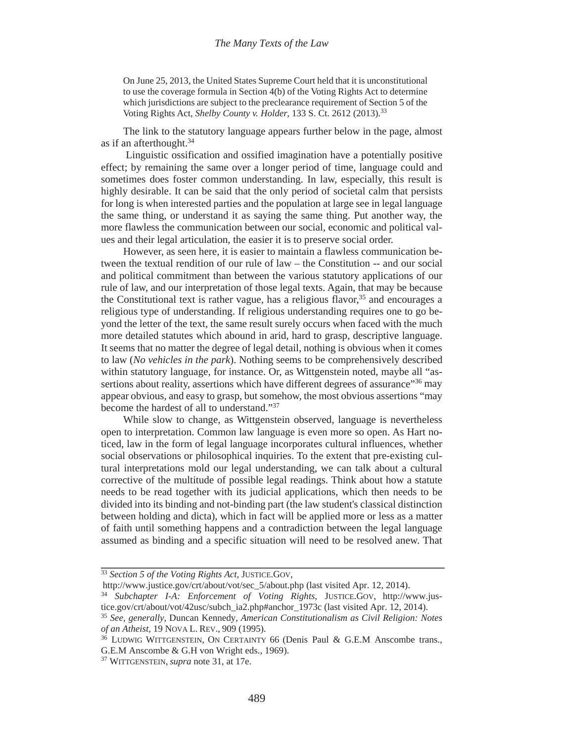On June 25, 2013, the United States Supreme Court held that it is unconstitutional to use the coverage formula in Section 4(b) of the Voting Rights Act to determine which jurisdictions are subject to the preclearance requirement of Section 5 of the Voting Rights Act, *Shelby County v. Holder*, 133 S. Ct. 2612 (2013).33

The link to the statutory language appears further below in the page, almost as if an afterthought.<sup>34</sup>

 Linguistic ossification and ossified imagination have a potentially positive effect; by remaining the same over a longer period of time, language could and sometimes does foster common understanding. In law, especially, this result is highly desirable. It can be said that the only period of societal calm that persists for long is when interested parties and the population at large see in legal language the same thing, or understand it as saying the same thing. Put another way, the more flawless the communication between our social, economic and political values and their legal articulation, the easier it is to preserve social order.

However, as seen here, it is easier to maintain a flawless communication between the textual rendition of our rule of law – the Constitution -- and our social and political commitment than between the various statutory applications of our rule of law, and our interpretation of those legal texts. Again, that may be because the Constitutional text is rather vague, has a religious flavor,  $35$  and encourages a religious type of understanding. If religious understanding requires one to go beyond the letter of the text, the same result surely occurs when faced with the much more detailed statutes which abound in arid, hard to grasp, descriptive language. It seems that no matter the degree of legal detail, nothing is obvious when it comes to law (*No vehicles in the park*). Nothing seems to be comprehensively described within statutory language, for instance. Or, as Wittgenstein noted, maybe all "assertions about reality, assertions which have different degrees of assurance"<sup>36</sup> may appear obvious, and easy to grasp, but somehow, the most obvious assertions "may become the hardest of all to understand."37

While slow to change, as Wittgenstein observed, language is nevertheless open to interpretation. Common law language is even more so open. As Hart noticed, law in the form of legal language incorporates cultural influences, whether social observations or philosophical inquiries. To the extent that pre-existing cultural interpretations mold our legal understanding, we can talk about a cultural corrective of the multitude of possible legal readings. Think about how a statute needs to be read together with its judicial applications, which then needs to be divided into its binding and not-binding part (the law student's classical distinction between holding and dicta), which in fact will be applied more or less as a matter of faith until something happens and a contradiction between the legal language assumed as binding and a specific situation will need to be resolved anew. That

<sup>33</sup> *Section 5 of the Voting Rights Act,* JUSTICE.GOV,

http://www.justice.gov/crt/about/vot/sec\_5/about.php (last visited Apr. 12, 2014).

<sup>34</sup> *Subchapter I-A: Enforcement of Voting Rights*, JUSTICE.GOV, http://www.justice.gov/crt/about/vot/42usc/subch\_ia2.php#anchor\_1973c (last visited Apr. 12, 2014).

<sup>35</sup> *See, generally*, Duncan Kennedy, *American Constitutionalism as Civil Religion: Notes of an Atheist*, 19 NOVA L. REV., 909 (1995).

<sup>&</sup>lt;sup>36</sup> LUDWIG WITTGENSTEIN, ON CERTAINTY 66 (Denis Paul & G.E.M Anscombe trans., G.E.M Anscombe & G.H von Wright eds., 1969).

<sup>37</sup> WITTGENSTEIN, *supra* note 31, at 17e.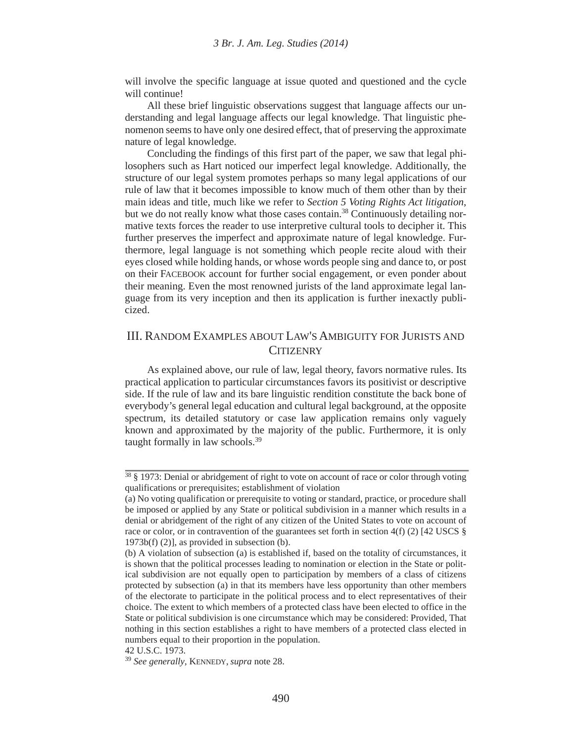will involve the specific language at issue quoted and questioned and the cycle will continue!

All these brief linguistic observations suggest that language affects our understanding and legal language affects our legal knowledge. That linguistic phenomenon seems to have only one desired effect, that of preserving the approximate nature of legal knowledge.

Concluding the findings of this first part of the paper, we saw that legal philosophers such as Hart noticed our imperfect legal knowledge. Additionally, the structure of our legal system promotes perhaps so many legal applications of our rule of law that it becomes impossible to know much of them other than by their main ideas and title, much like we refer to *Section 5 Voting Rights Act litigation*, but we do not really know what those cases contain.<sup>38</sup> Continuously detailing normative texts forces the reader to use interpretive cultural tools to decipher it. This further preserves the imperfect and approximate nature of legal knowledge. Furthermore, legal language is not something which people recite aloud with their eyes closed while holding hands, or whose words people sing and dance to, or post on their FACEBOOK account for further social engagement, or even ponder about their meaning. Even the most renowned jurists of the land approximate legal language from its very inception and then its application is further inexactly publicized.

## III. RANDOM EXAMPLES ABOUT LAW'S AMBIGUITY FOR JURISTS AND **CITIZENRY**

As explained above, our rule of law, legal theory, favors normative rules. Its practical application to particular circumstances favors its positivist or descriptive side. If the rule of law and its bare linguistic rendition constitute the back bone of everybody's general legal education and cultural legal background, at the opposite spectrum, its detailed statutory or case law application remains only vaguely known and approximated by the majority of the public. Furthermore, it is only taught formally in law schools.<sup>39</sup>

42 U.S.C. 1973.

 $38 \frac{\text{S}}{\text{S}}$  1973: Denial or abridgement of right to vote on account of race or color through voting qualifications or prerequisites; establishment of violation

<sup>(</sup>a) No voting qualification or prerequisite to voting or standard, practice, or procedure shall be imposed or applied by any State or political subdivision in a manner which results in a denial or abridgement of the right of any citizen of the United States to vote on account of race or color, or in contravention of the guarantees set forth in section 4(f) (2) [42 USCS  $\S$ 1973b(f) (2)], as provided in subsection (b).

<sup>(</sup>b) A violation of subsection (a) is established if, based on the totality of circumstances, it is shown that the political processes leading to nomination or election in the State or political subdivision are not equally open to participation by members of a class of citizens protected by subsection (a) in that its members have less opportunity than other members of the electorate to participate in the political process and to elect representatives of their choice. The extent to which members of a protected class have been elected to office in the State or political subdivision is one circumstance which may be considered: Provided, That nothing in this section establishes a right to have members of a protected class elected in numbers equal to their proportion in the population.

<sup>39</sup> *See generally*, KENNEDY, *supra* note 28.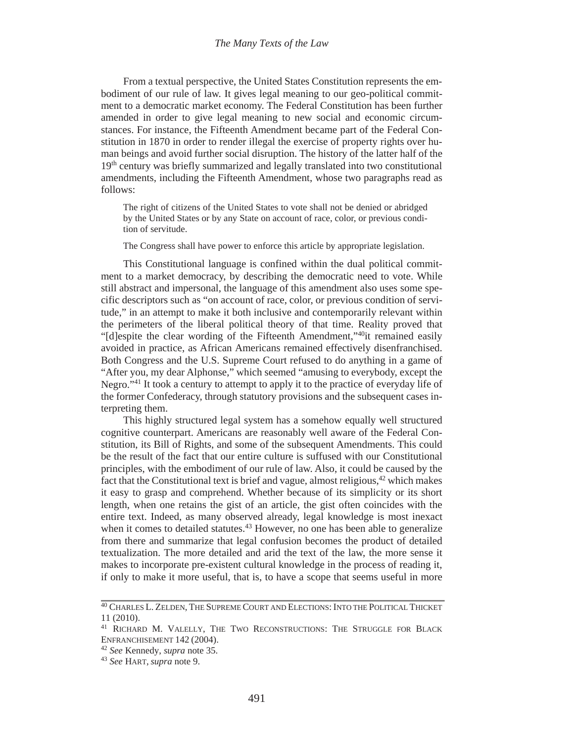#### *The Many Texts of the Law*

From a textual perspective, the United States Constitution represents the embodiment of our rule of law. It gives legal meaning to our geo-political commitment to a democratic market economy. The Federal Constitution has been further amended in order to give legal meaning to new social and economic circumstances. For instance, the Fifteenth Amendment became part of the Federal Constitution in 1870 in order to render illegal the exercise of property rights over human beings and avoid further social disruption. The history of the latter half of the 19<sup>th</sup> century was briefly summarized and legally translated into two constitutional amendments, including the Fifteenth Amendment, whose two paragraphs read as follows:

The right of citizens of the United States to vote shall not be denied or abridged by the United States or by any State on account of race, color, or previous condition of servitude.

The Congress shall have power to enforce this article by appropriate legislation.

This Constitutional language is confined within the dual political commitment to a market democracy, by describing the democratic need to vote. While still abstract and impersonal, the language of this amendment also uses some specific descriptors such as "on account of race, color, or previous condition of servitude," in an attempt to make it both inclusive and contemporarily relevant within the perimeters of the liberal political theory of that time. Reality proved that "[d]espite the clear wording of the Fifteenth Amendment,"40it remained easily avoided in practice, as African Americans remained effectively disenfranchised. Both Congress and the U.S. Supreme Court refused to do anything in a game of "After you, my dear Alphonse," which seemed "amusing to everybody, except the Negro."41 It took a century to attempt to apply it to the practice of everyday life of the former Confederacy, through statutory provisions and the subsequent cases interpreting them.

This highly structured legal system has a somehow equally well structured cognitive counterpart. Americans are reasonably well aware of the Federal Constitution, its Bill of Rights, and some of the subsequent Amendments. This could be the result of the fact that our entire culture is suffused with our Constitutional principles, with the embodiment of our rule of law. Also, it could be caused by the fact that the Constitutional text is brief and vague, almost religious,<sup>42</sup> which makes it easy to grasp and comprehend. Whether because of its simplicity or its short length, when one retains the gist of an article, the gist often coincides with the entire text. Indeed, as many observed already, legal knowledge is most inexact when it comes to detailed statutes.<sup>43</sup> However, no one has been able to generalize from there and summarize that legal confusion becomes the product of detailed textualization. The more detailed and arid the text of the law, the more sense it makes to incorporate pre-existent cultural knowledge in the process of reading it, if only to make it more useful, that is, to have a scope that seems useful in more

<sup>&</sup>lt;sup>40</sup> CHARLES L. ZELDEN, THE SUPREME COURT AND ELECTIONS: INTO THE POLITICAL THICKET 11 (2010).

<sup>41</sup> RICHARD M. VALELLY, THE TWO RECONSTRUCTIONS: THE STRUGGLE FOR BLACK ENFRANCHISEMENT 142 (2004).

<sup>42</sup> *See* Kennedy, *supra* note 35.

<sup>43</sup> *See* HART, *supra* note 9.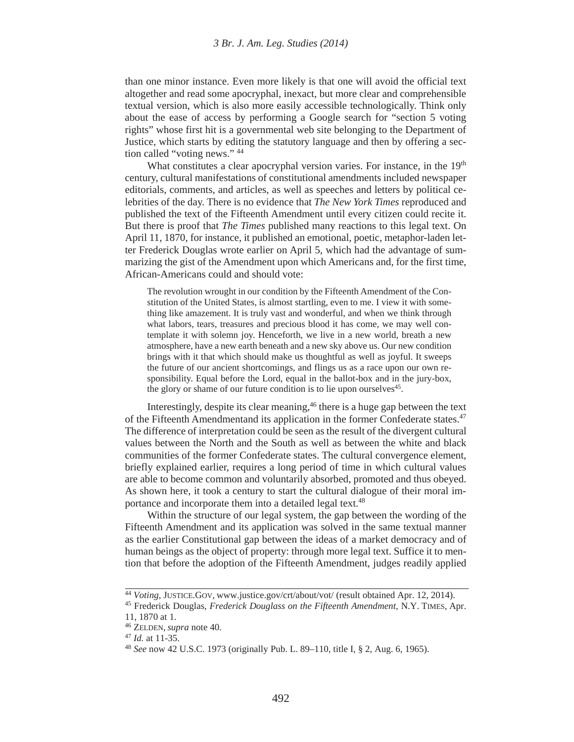than one minor instance. Even more likely is that one will avoid the official text altogether and read some apocryphal, inexact, but more clear and comprehensible textual version, which is also more easily accessible technologically. Think only about the ease of access by performing a Google search for "section 5 voting rights" whose first hit is a governmental web site belonging to the Department of Justice, which starts by editing the statutory language and then by offering a section called "voting news." 44

What constitutes a clear apocryphal version varies. For instance, in the  $19<sup>th</sup>$ century, cultural manifestations of constitutional amendments included newspaper editorials, comments, and articles, as well as speeches and letters by political celebrities of the day. There is no evidence that *The New York Times* reproduced and published the text of the Fifteenth Amendment until every citizen could recite it. But there is proof that *The Times* published many reactions to this legal text. On April 11, 1870, for instance, it published an emotional, poetic, metaphor-laden letter Frederick Douglas wrote earlier on April 5, which had the advantage of summarizing the gist of the Amendment upon which Americans and, for the first time, African-Americans could and should vote:

The revolution wrought in our condition by the Fifteenth Amendment of the Constitution of the United States, is almost startling, even to me. I view it with something like amazement. It is truly vast and wonderful, and when we think through what labors, tears, treasures and precious blood it has come, we may well contemplate it with solemn joy. Henceforth, we live in a new world, breath a new atmosphere, have a new earth beneath and a new sky above us. Our new condition brings with it that which should make us thoughtful as well as joyful. It sweeps the future of our ancient shortcomings, and flings us as a race upon our own responsibility. Equal before the Lord, equal in the ballot-box and in the jury-box, the glory or shame of our future condition is to lie upon ourselves<sup>45</sup>.

Interestingly, despite its clear meaning, $46$  there is a huge gap between the text of the Fifteenth Amendmentand its application in the former Confederate states.<sup>47</sup> The difference of interpretation could be seen as the result of the divergent cultural values between the North and the South as well as between the white and black communities of the former Confederate states. The cultural convergence element, briefly explained earlier, requires a long period of time in which cultural values are able to become common and voluntarily absorbed, promoted and thus obeyed. As shown here, it took a century to start the cultural dialogue of their moral importance and incorporate them into a detailed legal text.<sup>48</sup>

Within the structure of our legal system, the gap between the wording of the Fifteenth Amendment and its application was solved in the same textual manner as the earlier Constitutional gap between the ideas of a market democracy and of human beings as the object of property: through more legal text. Suffice it to mention that before the adoption of the Fifteenth Amendment, judges readily applied

<sup>44</sup> *Voting,* JUSTICE.GOV, www.justice.gov/crt/about/vot/ (result obtained Apr. 12, 2014).

<sup>45</sup> Frederick Douglas, *Frederick Douglass on the Fifteenth Amendment*, N.Y. TIMES, Apr. 11, 1870 at 1.

<sup>46</sup> ZELDEN, *supra* note 40.

<sup>47</sup> *Id.* at 11-35.

<sup>48</sup> *See* now 42 U.S.C. 1973 (originally Pub. L. 89–110, title I, § 2, Aug. 6, 1965).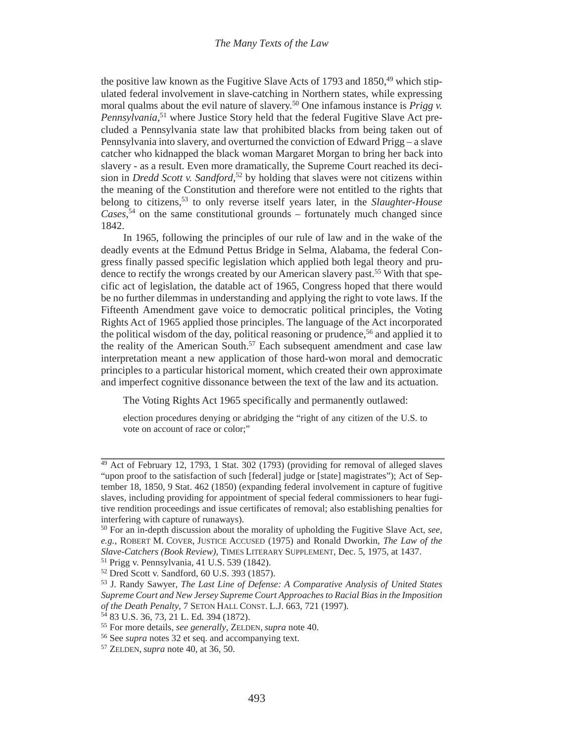the positive law known as the Fugitive Slave Acts of 1793 and 1850, $49$  which stipulated federal involvement in slave-catching in Northern states, while expressing moral qualms about the evil nature of slavery.50 One infamous instance is *Prigg v. Pennsylvania*, 51 where Justice Story held that the federal Fugitive Slave Act precluded a Pennsylvania state law that prohibited blacks from being taken out of Pennsylvania into slavery, and overturned the conviction of Edward Prigg – a slave catcher who kidnapped the black woman Margaret Morgan to bring her back into slavery - as a result. Even more dramatically, the Supreme Court reached its decision in *Dredd Scott v. Sandford*, 52 by holding that slaves were not citizens within the meaning of the Constitution and therefore were not entitled to the rights that belong to citizens,53 to only reverse itself years later, in the *Slaughter-House Cases*, 54 on the same constitutional grounds – fortunately much changed since 1842.

In 1965, following the principles of our rule of law and in the wake of the deadly events at the Edmund Pettus Bridge in Selma, Alabama, the federal Congress finally passed specific legislation which applied both legal theory and prudence to rectify the wrongs created by our American slavery past.<sup>55</sup> With that specific act of legislation, the datable act of 1965, Congress hoped that there would be no further dilemmas in understanding and applying the right to vote laws. If the Fifteenth Amendment gave voice to democratic political principles, the Voting Rights Act of 1965 applied those principles. The language of the Act incorporated the political wisdom of the day, political reasoning or prudence,<sup>56</sup> and applied it to the reality of the American South.<sup>57</sup> Each subsequent amendment and case law interpretation meant a new application of those hard-won moral and democratic principles to a particular historical moment, which created their own approximate and imperfect cognitive dissonance between the text of the law and its actuation.

The Voting Rights Act 1965 specifically and permanently outlawed:

election procedures denying or abridging the "right of any citizen of the U.S. to vote on account of race or color;"

 $49$  Act of February 12, 1793, 1 Stat. 302 (1793) (providing for removal of alleged slaves "upon proof to the satisfaction of such [federal] judge or [state] magistrates"); Act of September 18, 1850, 9 Stat. 462 (1850) (expanding federal involvement in capture of fugitive slaves, including providing for appointment of special federal commissioners to hear fugitive rendition proceedings and issue certificates of removal; also establishing penalties for interfering with capture of runaways).

<sup>50</sup> For an in-depth discussion about the morality of upholding the Fugitive Slave Act, *see, e.g.*, ROBERT M. COVER, JUSTICE ACCUSED (1975) and Ronald Dworkin, *The Law of the Slave-Catchers (Book Review)*, TIMES LITERARY SUPPLEMENT, Dec. 5, 1975, at 1437.

<sup>51</sup> Prigg v. Pennsylvania, 41 U.S. 539 (1842).

<sup>52</sup> Dred Scott v. Sandford, 60 U.S. 393 (1857).

<sup>53</sup> J. Randy Sawyer, *The Last Line of Defense: A Comparative Analysis of United States Supreme Court and New Jersey Supreme Court Approaches to Racial Bias in the Imposition of the Death Penalty*, 7 SETON HALL CONST. L.J. 663, 721 (1997).

<sup>54 83</sup> U.S. 36, 73, 21 L. Ed. 394 (1872).

<sup>55</sup> For more details, *see generally,* ZELDEN, *supra* note 40.

<sup>56</sup> See *supra* notes 32 et seq. and accompanying text.

<sup>57</sup> ZELDEN, *supra* note 40, at 36, 50.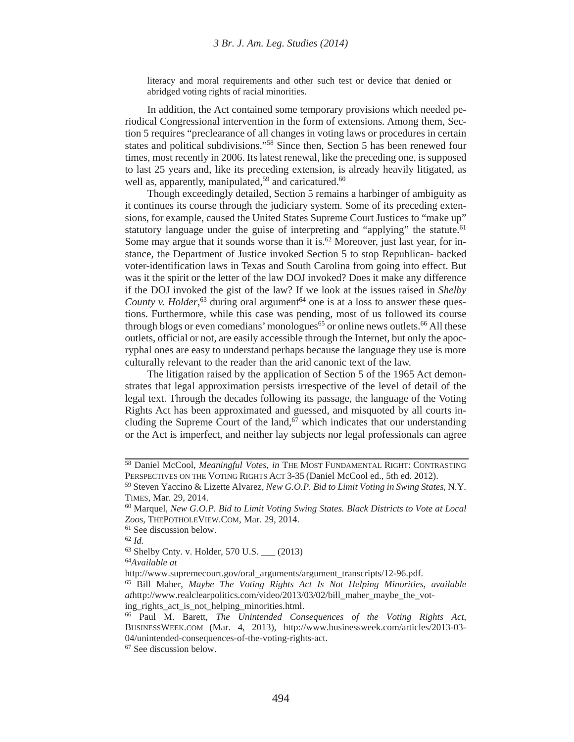literacy and moral requirements and other such test or device that denied or abridged voting rights of racial minorities.

In addition, the Act contained some temporary provisions which needed periodical Congressional intervention in the form of extensions. Among them, Section 5 requires "preclearance of all changes in voting laws or procedures in certain states and political subdivisions."58 Since then, Section 5 has been renewed four times, most recently in 2006. Its latest renewal, like the preceding one, is supposed to last 25 years and, like its preceding extension, is already heavily litigated, as well as, apparently, manipulated, $59$  and caricatured. $60$ 

Though exceedingly detailed, Section 5 remains a harbinger of ambiguity as it continues its course through the judiciary system. Some of its preceding extensions, for example, caused the United States Supreme Court Justices to "make up" statutory language under the guise of interpreting and "applying" the statute.<sup>61</sup> Some may argue that it sounds worse than it is.<sup>62</sup> Moreover, just last year, for instance, the Department of Justice invoked Section 5 to stop Republican- backed voter-identification laws in Texas and South Carolina from going into effect. But was it the spirit or the letter of the law DOJ invoked? Does it make any difference if the DOJ invoked the gist of the law? If we look at the issues raised in *Shelby County v. Holder*,  $63$  during oral argument $64$  one is at a loss to answer these questions. Furthermore, while this case was pending, most of us followed its course through blogs or even comedians' monologues<sup>65</sup> or online news outlets.<sup>66</sup> All these outlets, official or not, are easily accessible through the Internet, but only the apocryphal ones are easy to understand perhaps because the language they use is more culturally relevant to the reader than the arid canonic text of the law.

The litigation raised by the application of Section 5 of the 1965 Act demonstrates that legal approximation persists irrespective of the level of detail of the legal text. Through the decades following its passage, the language of the Voting Rights Act has been approximated and guessed, and misquoted by all courts including the Supreme Court of the land, $67$  which indicates that our understanding or the Act is imperfect, and neither lay subjects nor legal professionals can agree

<sup>64</sup>*Available at*

<sup>58</sup> Daniel McCool, *Meaningful Votes, in* THE MOST FUNDAMENTAL RIGHT: CONTRASTING PERSPECTIVES ON THE VOTING RIGHTS ACT 3-35 (Daniel McCool ed., 5th ed. 2012).

<sup>59</sup> Steven Yaccino & Lizette Alvarez, *New G.O.P. Bid to Limit Voting in Swing States*, N.Y. TIMES, Mar. 29, 2014.

<sup>60</sup> Marquel, *New G.O.P. Bid to Limit Voting Swing States. Black Districts to Vote at Local Zoos*, THEPOTHOLEVIEW.COM, Mar. 29, 2014.

<sup>61</sup> See discussion below.

<sup>62</sup> *Id.*

<sup>63</sup> Shelby Cnty. v. Holder, 570 U.S. \_\_\_ (2013)

http://www.supremecourt.gov/oral\_arguments/argument\_transcripts/12-96.pdf.

<sup>65</sup> Bill Maher, *Maybe The Voting Rights Act Is Not Helping Minorities*, *available at*http://www.realclearpolitics.com/video/2013/03/02/bill\_maher\_maybe\_the\_voting rights act is not helping minorities.html.

<sup>66</sup> Paul M. Barett, *The Unintended Consequences of the Voting Rights Act*, BUSINESSWEEK.COM (Mar. 4, 2013), http://www.businessweek.com/articles/2013-03- 04/unintended-consequences-of-the-voting-rights-act.

<sup>67</sup> See discussion below.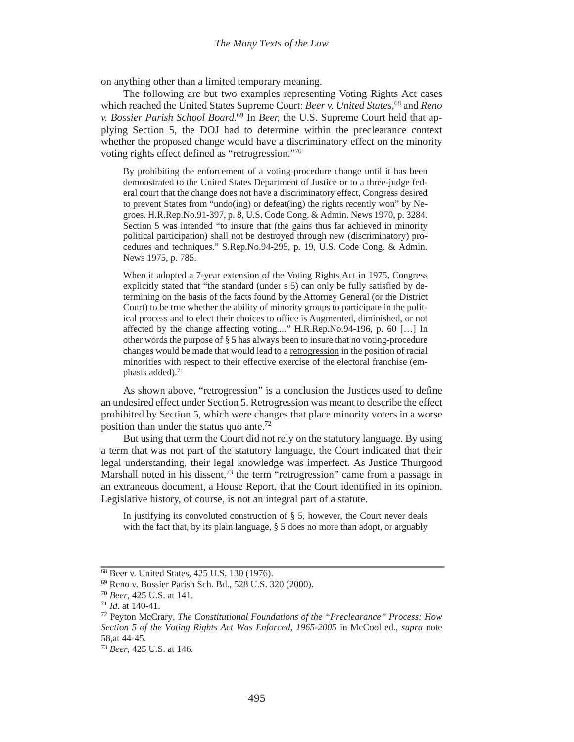on anything other than a limited temporary meaning.

The following are but two examples representing Voting Rights Act cases which reached the United States Supreme Court: *Beer v. United States*, 68 and *Reno v. Bossier Parish School Board.*<sup>69</sup> In *Beer,* the U.S. Supreme Court held that applying Section 5, the DOJ had to determine within the preclearance context whether the proposed change would have a discriminatory effect on the minority voting rights effect defined as "retrogression."70

By prohibiting the enforcement of a voting-procedure change until it has been demonstrated to the United States Department of Justice or to a three-judge federal court that the change does not have a discriminatory effect, Congress desired to prevent States from "undo(ing) or defeat(ing) the rights recently won" by Negroes. H.R.Rep.No.91-397, p. 8, U.S. Code Cong. & Admin. News 1970, p. 3284. Section 5 was intended "to insure that (the gains thus far achieved in minority political participation) shall not be destroyed through new (discriminatory) procedures and techniques." S.Rep.No.94-295, p. 19, U.S. Code Cong. & Admin. News 1975, p. 785.

When it adopted a 7-year extension of the Voting Rights Act in 1975, Congress explicitly stated that "the standard (under s 5) can only be fully satisfied by determining on the basis of the facts found by the Attorney General (or the District Court) to be true whether the ability of minority groups to participate in the political process and to elect their choices to office is Augmented, diminished, or not affected by the change affecting voting...." H.R.Rep.No.94-196, p. 60 […] In other words the purpose of § 5 has always been to insure that no voting-procedure changes would be made that would lead to a retrogression in the position of racial minorities with respect to their effective exercise of the electoral franchise (emphasis added). $71$ 

As shown above, "retrogression" is a conclusion the Justices used to define an undesired effect under Section 5. Retrogression was meant to describe the effect prohibited by Section 5, which were changes that place minority voters in a worse position than under the status quo ante.<sup>72</sup>

But using that term the Court did not rely on the statutory language. By using a term that was not part of the statutory language, the Court indicated that their legal understanding, their legal knowledge was imperfect. As Justice Thurgood Marshall noted in his dissent,<sup>73</sup> the term "retrogression" came from a passage in an extraneous document, a House Report, that the Court identified in its opinion. Legislative history, of course, is not an integral part of a statute.

In justifying its convoluted construction of § 5, however, the Court never deals with the fact that, by its plain language, § 5 does no more than adopt, or arguably

<sup>&</sup>lt;sup>68</sup> Beer v. United States, 425 U.S. 130 (1976).

<sup>69</sup> Reno v. Bossier Parish Sch. Bd., 528 U.S. 320 (2000).

<sup>70</sup> *Beer*, 425 U.S. at 141.

<sup>71</sup> *Id*. at 140-41.

<sup>72</sup> Peyton McCrary, *The Constitutional Foundations of the "Preclearance" Process: How Section 5 of the Voting Rights Act Was Enforced, 1965-2005* in McCool ed., *supra* note 58,at 44-45.

<sup>73</sup> *Beer*, 425 U.S. at 146.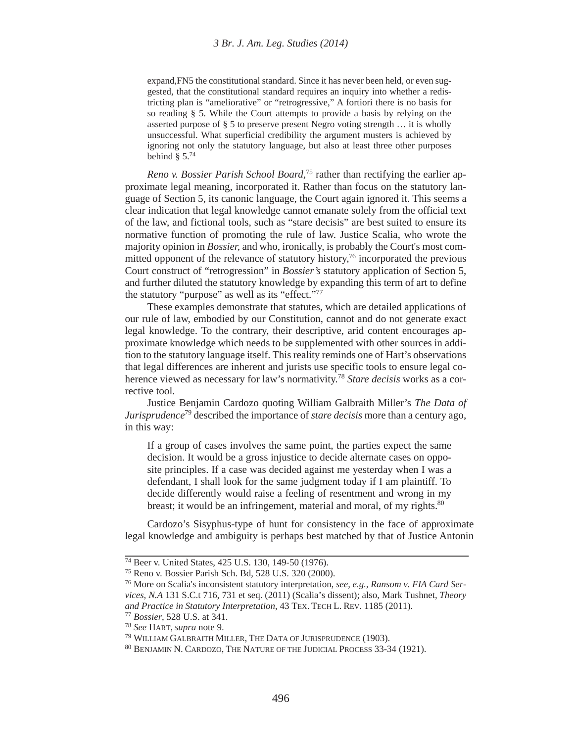expand,FN5 the constitutional standard. Since it has never been held, or even suggested, that the constitutional standard requires an inquiry into whether a redistricting plan is "ameliorative" or "retrogressive," A fortiori there is no basis for so reading § 5. While the Court attempts to provide a basis by relying on the asserted purpose of § 5 to preserve present Negro voting strength … it is wholly unsuccessful. What superficial credibility the argument musters is achieved by ignoring not only the statutory language, but also at least three other purposes behind  $§$  5.<sup>74</sup>

*Reno v. Bossier Parish School Board,*75 rather than rectifying the earlier approximate legal meaning, incorporated it. Rather than focus on the statutory language of Section 5, its canonic language, the Court again ignored it. This seems a clear indication that legal knowledge cannot emanate solely from the official text of the law, and fictional tools, such as "stare decisis" are best suited to ensure its normative function of promoting the rule of law. Justice Scalia, who wrote the majority opinion in *Bossier,* and who, ironically, is probably the Court's most committed opponent of the relevance of statutory history,<sup>76</sup> incorporated the previous Court construct of "retrogression" in *Bossier's* statutory application of Section 5, and further diluted the statutory knowledge by expanding this term of art to define the statutory "purpose" as well as its "effect."77

These examples demonstrate that statutes, which are detailed applications of our rule of law, embodied by our Constitution, cannot and do not generate exact legal knowledge. To the contrary, their descriptive, arid content encourages approximate knowledge which needs to be supplemented with other sources in addition to the statutory language itself. This reality reminds one of Hart's observations that legal differences are inherent and jurists use specific tools to ensure legal coherence viewed as necessary for law's normativity.78 *Stare decisis* works as a corrective tool.

Justice Benjamin Cardozo quoting William Galbraith Miller's *The Data of Jurisprudence*79 described the importance of *stare decisis* more than a century ago, in this way:

If a group of cases involves the same point, the parties expect the same decision. It would be a gross injustice to decide alternate cases on opposite principles. If a case was decided against me yesterday when I was a defendant, I shall look for the same judgment today if I am plaintiff. To decide differently would raise a feeling of resentment and wrong in my breast; it would be an infringement, material and moral, of my rights.<sup>80</sup>

Cardozo's Sisyphus-type of hunt for consistency in the face of approximate legal knowledge and ambiguity is perhaps best matched by that of Justice Antonin

<sup>74</sup> Beer v. United States, 425 U.S. 130, 149-50 (1976).

<sup>75</sup> Reno v. Bossier Parish Sch. Bd, 528 U.S. 320 (2000).

<sup>76</sup> More on Scalia's inconsistent statutory interpretation, *see, e.g.*, *Ransom v. FIA Card Services, N.A* 131 S.C.t 716, 731 et seq. (2011) (Scalia's dissent); also, Mark Tushnet, *Theory and Practice in Statutory Interpretation*, 43 TEX. TECH L. REV. 1185 (2011). 77 *Bossier*, 528 U.S. at 341.

<sup>78</sup> *See* HART, *supra* note 9.

<sup>79</sup> WILLIAM GALBRAITH MILLER, THE DATA OF JURISPRUDENCE (1903).

<sup>80</sup> BENJAMIN N. CARDOZO, THE NATURE OF THE JUDICIAL PROCESS 33-34 (1921).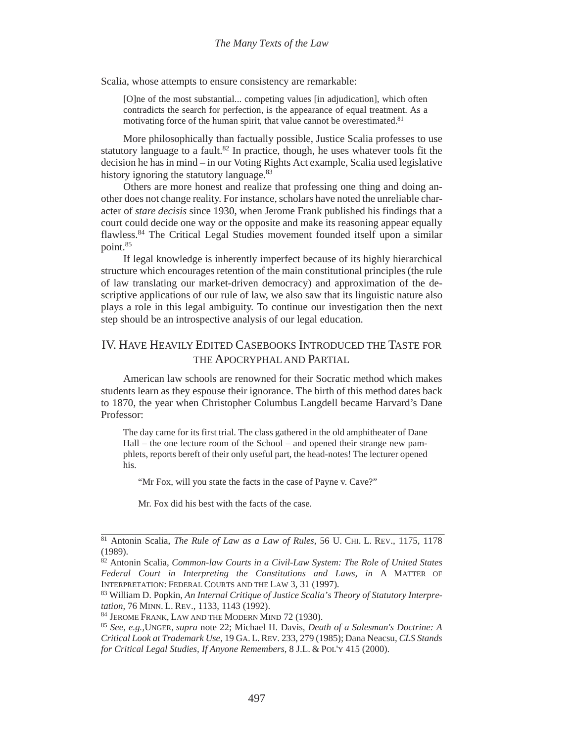Scalia, whose attempts to ensure consistency are remarkable:

[O]ne of the most substantial... competing values [in adjudication], which often contradicts the search for perfection, is the appearance of equal treatment. As a motivating force of the human spirit, that value cannot be overestimated.<sup>81</sup>

More philosophically than factually possible, Justice Scalia professes to use statutory language to a fault.<sup>82</sup> In practice, though, he uses whatever tools fit the decision he has in mind – in our Voting Rights Act example, Scalia used legislative history ignoring the statutory language.<sup>83</sup>

Others are more honest and realize that professing one thing and doing another does not change reality. For instance, scholars have noted the unreliable character of *stare decisis* since 1930, when Jerome Frank published his findings that a court could decide one way or the opposite and make its reasoning appear equally flawless.84 The Critical Legal Studies movement founded itself upon a similar point.85

If legal knowledge is inherently imperfect because of its highly hierarchical structure which encourages retention of the main constitutional principles (the rule of law translating our market-driven democracy) and approximation of the descriptive applications of our rule of law, we also saw that its linguistic nature also plays a role in this legal ambiguity. To continue our investigation then the next step should be an introspective analysis of our legal education.

### IV. HAVE HEAVILY EDITED CASEBOOKS INTRODUCED THE TASTE FOR THE APOCRYPHAL AND PARTIAL

American law schools are renowned for their Socratic method which makes students learn as they espouse their ignorance. The birth of this method dates back to 1870, the year when Christopher Columbus Langdell became Harvard's Dane Professor:

The day came for its first trial. The class gathered in the old amphitheater of Dane Hall – the one lecture room of the School – and opened their strange new pamphlets, reports bereft of their only useful part, the head-notes! The lecturer opened his.

"Mr Fox, will you state the facts in the case of Payne v. Cave?"

Mr. Fox did his best with the facts of the case.

83 William D. Popkin, *An Internal Critique of Justice Scalia's Theory of Statutory Interpretation*, 76 MINN. L. REV., 1133, 1143 (1992).

<sup>81</sup> Antonin Scalia, *The Rule of Law as a Law of Rules*, 56 U. CHI. L. REV., 1175, 1178 (1989).

<sup>82</sup> Antonin Scalia, *Common-law Courts in a Civil-Law System: The Role of United States Federal Court in Interpreting the Constitutions and Laws*, *in* A MATTER OF INTERPRETATION: FEDERAL COURTS AND THE LAW 3, 31 (1997).

<sup>84</sup> JEROME FRANK, LAW AND THE MODERN MIND 72 (1930).

<sup>85</sup> *See, e.g.*,UNGER, *supra* note 22; Michael H. Davis, *Death of a Salesman's Doctrine: A Critical Look at Trademark Use*, 19 GA. L.REV. 233, 279 (1985); Dana Neacsu, *CLS Stands for Critical Legal Studies, If Anyone Remembers*, 8 J.L. & POL'Y 415 (2000).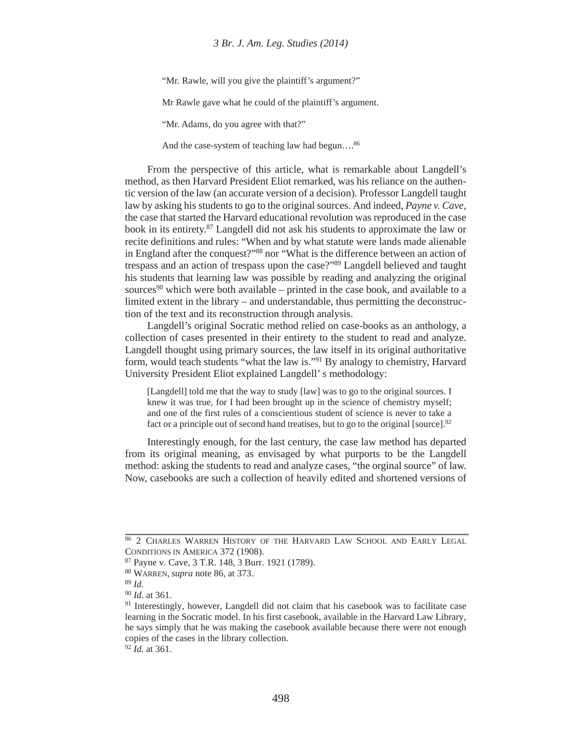"Mr. Rawle, will you give the plaintiff's argument?"

Mr Rawle gave what he could of the plaintiff's argument.

"Mr. Adams, do you agree with that?"

And the case-system of teaching law had begun....<sup>86</sup>

From the perspective of this article, what is remarkable about Langdell's method, as then Harvard President Eliot remarked, was his reliance on the authentic version of the law (an accurate version of a decision). Professor Langdell taught law by asking his students to go to the original sources. And indeed, *Payne v. Cave*, the case that started the Harvard educational revolution was reproduced in the case book in its entirety.87 Langdell did not ask his students to approximate the law or recite definitions and rules: "When and by what statute were lands made alienable in England after the conquest?"88 nor "What is the difference between an action of trespass and an action of trespass upon the case?"89 Langdell believed and taught his students that learning law was possible by reading and analyzing the original sources $90$  which were both available – printed in the case book, and available to a limited extent in the library – and understandable, thus permitting the deconstruction of the text and its reconstruction through analysis.

Langdell's original Socratic method relied on case-books as an anthology, a collection of cases presented in their entirety to the student to read and analyze. Langdell thought using primary sources, the law itself in its original authoritative form, would teach students "what the law is."91 By analogy to chemistry, Harvard University President Eliot explained Langdell' s methodology:

[Langdell] told me that the way to study [law] was to go to the original sources. I knew it was true, for I had been brought up in the science of chemistry myself; and one of the first rules of a conscientious student of science is never to take a fact or a principle out of second hand treatises, but to go to the original [source].<sup>92</sup>

Interestingly enough, for the last century, the case law method has departed from its original meaning, as envisaged by what purports to be the Langdell method: asking the students to read and analyze cases, "the orginal source" of law. Now, casebooks are such a collection of heavily edited and shortened versions of

<sup>92</sup> *Id.* at 361.

<sup>86 2</sup> CHARLES WARREN HISTORY OF THE HARVARD LAW SCHOOL AND EARLY LEGAL CONDITIONS IN AMERICA 372 (1908).

<sup>87</sup> Payne v. Cave, 3 T.R. 148, 3 Burr. 1921 (1789).

<sup>88</sup> WARREN, *supra* note 86, at 373.

<sup>89</sup> *Id.*

<sup>90</sup> *Id.* at 361.

<sup>&</sup>lt;sup>91</sup> Interestingly, however, Langdell did not claim that his casebook was to facilitate case learning in the Socratic model. In his first casebook, available in the Harvard Law Library, he says simply that he was making the casebook available because there were not enough copies of the cases in the library collection.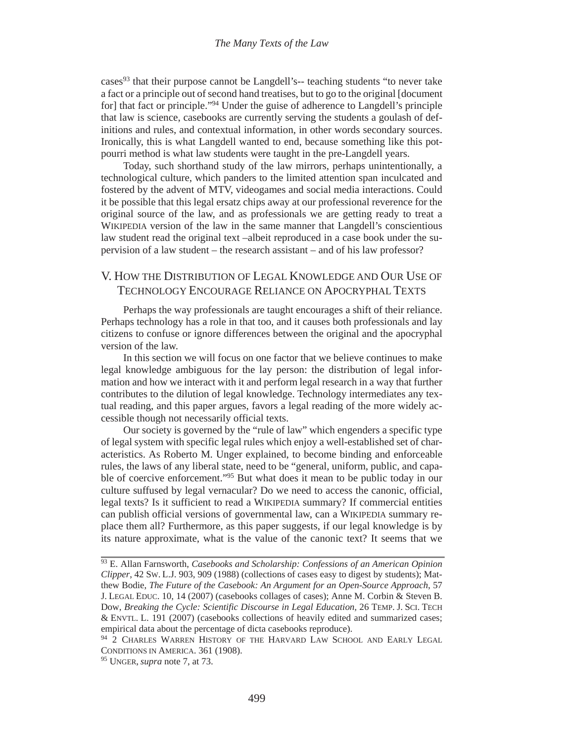cases<sup>93</sup> that their purpose cannot be Langdell's-- teaching students "to never take a fact or a principle out of second hand treatises, but to go to the original [document for] that fact or principle."94 Under the guise of adherence to Langdell's principle that law is science, casebooks are currently serving the students a goulash of definitions and rules, and contextual information, in other words secondary sources. Ironically, this is what Langdell wanted to end, because something like this potpourri method is what law students were taught in the pre-Langdell years.

Today, such shorthand study of the law mirrors, perhaps unintentionally, a technological culture, which panders to the limited attention span inculcated and fostered by the advent of MTV, videogames and social media interactions. Could it be possible that this legal ersatz chips away at our professional reverence for the original source of the law, and as professionals we are getting ready to treat a WIKIPEDIA version of the law in the same manner that Langdell's conscientious law student read the original text –albeit reproduced in a case book under the supervision of a law student – the research assistant – and of his law professor?

## V. HOW THE DISTRIBUTION OF LEGAL KNOWLEDGE AND OUR USE OF TECHNOLOGY ENCOURAGE RELIANCE ON APOCRYPHAL TEXTS

Perhaps the way professionals are taught encourages a shift of their reliance. Perhaps technology has a role in that too, and it causes both professionals and lay citizens to confuse or ignore differences between the original and the apocryphal version of the law.

In this section we will focus on one factor that we believe continues to make legal knowledge ambiguous for the lay person: the distribution of legal information and how we interact with it and perform legal research in a way that further contributes to the dilution of legal knowledge. Technology intermediates any textual reading, and this paper argues, favors a legal reading of the more widely accessible though not necessarily official texts.

Our society is governed by the "rule of law" which engenders a specific type of legal system with specific legal rules which enjoy a well-established set of characteristics. As Roberto M. Unger explained, to become binding and enforceable rules, the laws of any liberal state, need to be "general, uniform, public, and capable of coercive enforcement."95 But what does it mean to be public today in our culture suffused by legal vernacular? Do we need to access the canonic, official, legal texts? Is it sufficient to read a WIKIPEDIA summary? If commercial entities can publish official versions of governmental law, can a WIKIPEDIA summary replace them all? Furthermore, as this paper suggests, if our legal knowledge is by its nature approximate, what is the value of the canonic text? It seems that we

<sup>93</sup> E. Allan Farnsworth, *Casebooks and Scholarship: Confessions of an American Opinion Clipper*, 42 SW. L.J. 903, 909 (1988) (collections of cases easy to digest by students); Matthew Bodie, *The Future of the Casebook: An Argument for an Open-Source Approach*, 57 J. LEGAL EDUC. 10, 14 (2007) (casebooks collages of cases); Anne M. Corbin & Steven B. Dow, *Breaking the Cycle: Scientific Discourse in Legal Education,* 26 TEMP. J. SCI. TECH & ENVTL. L. 191 (2007) (casebooks collections of heavily edited and summarized cases; empirical data about the percentage of dicta casebooks reproduce).

<sup>&</sup>lt;sup>94</sup> 2 CHARLES WARREN HISTORY OF THE HARVARD LAW SCHOOL AND EARLY LEGAL CONDITIONS IN AMERICA. 361 (1908).

<sup>95</sup> UNGER, *supra* note 7, at 73.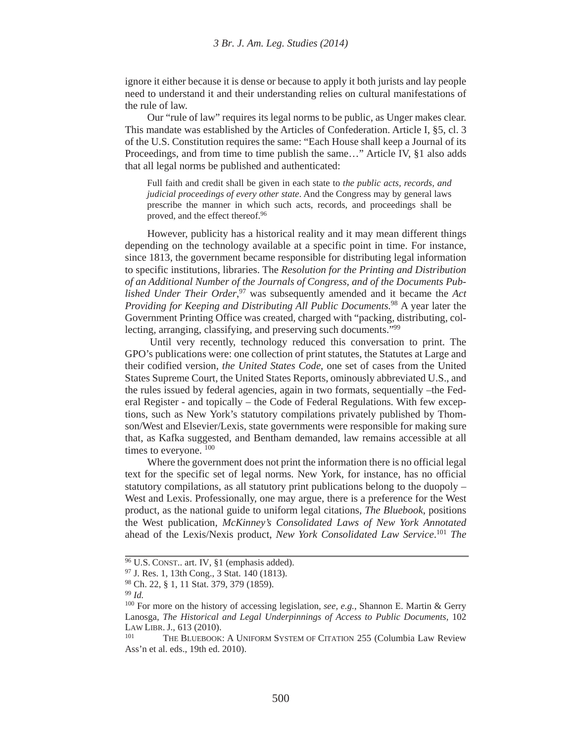ignore it either because it is dense or because to apply it both jurists and lay people need to understand it and their understanding relies on cultural manifestations of the rule of law.

Our "rule of law" requires its legal norms to be public, as Unger makes clear. This mandate was established by the Articles of Confederation. Article I, §5, cl. 3 of the U.S. Constitution requires the same: "Each House shall keep a Journal of its Proceedings, and from time to time publish the same…" Article IV, §1 also adds that all legal norms be published and authenticated:

Full faith and credit shall be given in each state to *the public acts, records, and judicial proceedings of every other state*. And the Congress may by general laws prescribe the manner in which such acts, records, and proceedings shall be proved, and the effect thereof.<sup>96</sup>

However, publicity has a historical reality and it may mean different things depending on the technology available at a specific point in time. For instance, since 1813, the government became responsible for distributing legal information to specific institutions, libraries. The *Resolution for the Printing and Distribution of an Additional Number of the Journals of Congress, and of the Documents Published Under Their Order*, 97 was subsequently amended and it became the *Act Providing for Keeping and Distributing All Public Documents.*<sup>98</sup> A year later the Government Printing Office was created, charged with "packing, distributing, collecting, arranging, classifying, and preserving such documents."99

 Until very recently, technology reduced this conversation to print. The GPO's publications were: one collection of print statutes, the Statutes at Large and their codified version, *the United States Code*, one set of cases from the United States Supreme Court*,* the United States Reports, ominously abbreviated U.S., and the rules issued by federal agencies, again in two formats, sequentially –the Federal Register - and topically – the Code of Federal Regulations. With few exceptions, such as New York's statutory compilations privately published by Thomson/West and Elsevier/Lexis, state governments were responsible for making sure that, as Kafka suggested, and Bentham demanded, law remains accessible at all times to everyone.  $100$ 

Where the government does not print the information there is no official legal text for the specific set of legal norms. New York, for instance, has no official statutory compilations, as all statutory print publications belong to the duopoly – West and Lexis. Professionally, one may argue, there is a preference for the West product, as the national guide to uniform legal citations, *The Bluebook*, positions the West publication, *McKinney's Consolidated Laws of New York Annotated* ahead of the Lexis/Nexis product, *New York Consolidated Law Service*. <sup>101</sup> *The* 

 $\frac{96 \text{ U.S.} \text{CONST.}}{96 \text{ U.S.} \text{ CONST.}}$  art. IV, §1 (emphasis added).

<sup>97</sup> J. Res. 1, 13th Cong., 3 Stat. 140 (1813).

<sup>98</sup> Ch. 22, § 1, 11 Stat. 379, 379 (1859).

<sup>99</sup> *Id.*

<sup>100</sup> For more on the history of accessing legislation, *see, e.g.*, Shannon E. Martin & Gerry Lanosga, *The Historical and Legal Underpinnings of Access to Public Documents,* 102 LAW LIBR. J., 613 (2010).

<sup>&</sup>lt;sup>101</sup> THE BLUEBOOK: A UNIFORM SYSTEM OF CITATION 255 (Columbia Law Review Ass'n et al. eds., 19th ed. 2010).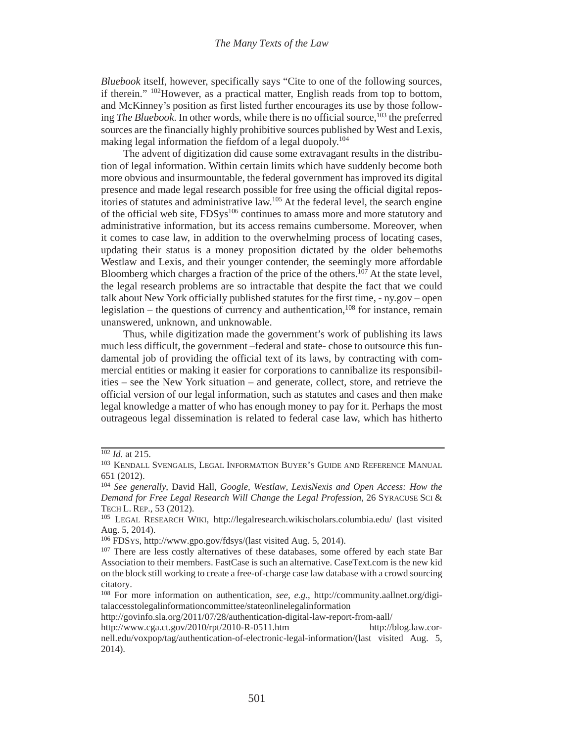*Bluebook* itself, however, specifically says "Cite to one of the following sources, if therein." 102However, as a practical matter, English reads from top to bottom, and McKinney's position as first listed further encourages its use by those following *The Bluebook*. In other words, while there is no official source,<sup>103</sup> the preferred sources are the financially highly prohibitive sources published by West and Lexis, making legal information the fiefdom of a legal duopoly.<sup>104</sup>

The advent of digitization did cause some extravagant results in the distribution of legal information. Within certain limits which have suddenly become both more obvious and insurmountable, the federal government has improved its digital presence and made legal research possible for free using the official digital repositories of statutes and administrative law.105 At the federal level, the search engine of the official web site, FDSys<sup>106</sup> continues to amass more and more statutory and administrative information, but its access remains cumbersome. Moreover, when it comes to case law, in addition to the overwhelming process of locating cases, updating their status is a money proposition dictated by the older behemoths Westlaw and Lexis, and their younger contender, the seemingly more affordable Bloomberg which charges a fraction of the price of the others.<sup>107</sup> At the state level, the legal research problems are so intractable that despite the fact that we could talk about New York officially published statutes for the first time, - ny.gov – open legislation – the questions of currency and authentication,  $^{108}$  for instance, remain unanswered, unknown, and unknowable.

Thus, while digitization made the government's work of publishing its laws much less difficult, the government –federal and state- chose to outsource this fundamental job of providing the official text of its laws, by contracting with commercial entities or making it easier for corporations to cannibalize its responsibilities – see the New York situation – and generate, collect, store, and retrieve the official version of our legal information, such as statutes and cases and then make legal knowledge a matter of who has enough money to pay for it. Perhaps the most outrageous legal dissemination is related to federal case law, which has hitherto

<sup>102</sup> *Id*. at 215.

<sup>&</sup>lt;sup>103</sup> KENDALL SVENGALIS, LEGAL INFORMATION BUYER'S GUIDE AND REFERENCE MANUAL 651 (2012).

<sup>104</sup> *See generally*, David Hall, *Google, Westlaw, LexisNexis and Open Access: How the Demand for Free Legal Research Will Change the Legal Profession,* 26 SYRACUSE SCI & TECH L. REP., 53 (2012).

<sup>105</sup> LEGAL RESEARCH WIKI, http://legalresearch.wikischolars.columbia.edu/ (last visited Aug. 5, 2014).

<sup>106</sup> FDSYS, http://www.gpo.gov/fdsys/(last visited Aug. 5, 2014).

<sup>&</sup>lt;sup>107</sup> There are less costly alternatives of these databases, some offered by each state Bar Association to their members. FastCase is such an alternative. CaseText.com is the new kid on the block still working to create a free-of-charge case law database with a crowd sourcing citatory.

<sup>108</sup> For more information on authentication, *see, e.g.*, http://community.aallnet.org/digitalaccesstolegalinformationcommittee/stateonlinelegalinformation

http://govinfo.sla.org/2011/07/28/authentication-digital-law-report-from-aall/

http://www.cga.ct.gov/2010/rpt/2010-R-0511.htm http://blog.law.cor-

nell.edu/voxpop/tag/authentication-of-electronic-legal-information/(last visited Aug. 5, 2014).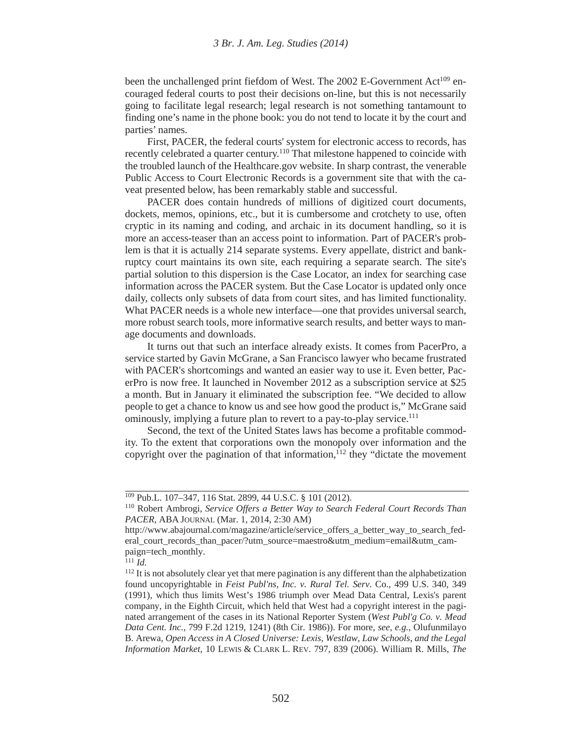been the unchallenged print fiefdom of West. The 2002 E-Government Act<sup>109</sup> encouraged federal courts to post their decisions on-line, but this is not necessarily going to facilitate legal research; legal research is not something tantamount to finding one's name in the phone book: you do not tend to locate it by the court and parties' names.

First, PACER, the federal courts' system for electronic access to records, has recently celebrated a quarter century.<sup>110</sup> That milestone happened to coincide with the troubled launch of the Healthcare.gov website. In sharp contrast, the venerable Public Access to Court Electronic Records is a government site that with the caveat presented below, has been remarkably stable and successful.

PACER does contain hundreds of millions of digitized court documents, dockets, memos, opinions, etc., but it is cumbersome and crotchety to use, often cryptic in its naming and coding, and archaic in its document handling, so it is more an access-teaser than an access point to information. Part of PACER's problem is that it is actually 214 separate systems. Every appellate, district and bankruptcy court maintains its own site, each requiring a separate search. The site's partial solution to this dispersion is the Case Locator, an index for searching case information across the PACER system. But the Case Locator is updated only once daily, collects only subsets of data from court sites, and has limited functionality. What PACER needs is a whole new interface—one that provides universal search, more robust search tools, more informative search results, and better ways to manage documents and downloads.

It turns out that such an interface already exists. It comes from PacerPro, a service started by Gavin McGrane, a San Francisco lawyer who became frustrated with PACER's shortcomings and wanted an easier way to use it. Even better, PacerPro is now free. It launched in November 2012 as a subscription service at \$25 a month. But in January it eliminated the subscription fee. "We decided to allow people to get a chance to know us and see how good the product is," McGrane said ominously, implying a future plan to revert to a pay-to-play service.<sup>111</sup>

Second, the text of the United States laws has become a profitable commodity. To the extent that corporations own the monopoly over information and the copyright over the pagination of that information, $^{12}$  they "dictate the movement

<sup>109</sup> Pub.L. 107–347, 116 Stat. 2899, 44 U.S.C. § 101 (2012).

<sup>110</sup> Robert Ambrogi, *Service Offers a Better Way to Search Federal Court Records Than PACER,* ABA JOURNAL (Mar. 1, 2014, 2:30 AM)

http://www.abajournal.com/magazine/article/service\_offers\_a\_better\_way\_to\_search\_federal\_court\_records\_than\_pacer/?utm\_source=maestro&utm\_medium=email&utm\_campaign=tech\_monthly.

 $111$  *Id.* 

<sup>&</sup>lt;sup>112</sup> It is not absolutely clear yet that mere pagination is any different than the alphabetization found uncopyrightable in *Feist Publ'ns, Inc. v. Rural Tel. Serv*. Co., 499 U.S. 340, 349 (1991), which thus limits West's 1986 triumph over Mead Data Central, Lexis's parent company, in the Eighth Circuit, which held that West had a copyright interest in the paginated arrangement of the cases in its National Reporter System (*West Publ'g Co. v. Mead Data Cent. Inc.,* 799 F.2d 1219, 1241) (8th Cir. 1986)). For more, *see, e.g.*, Olufunmilayo B. Arewa, *Open Access in A Closed Universe: Lexis, Westlaw, Law Schools, and the Legal Information Market*, 10 LEWIS & CLARK L. REV. 797, 839 (2006). William R. Mills, *The*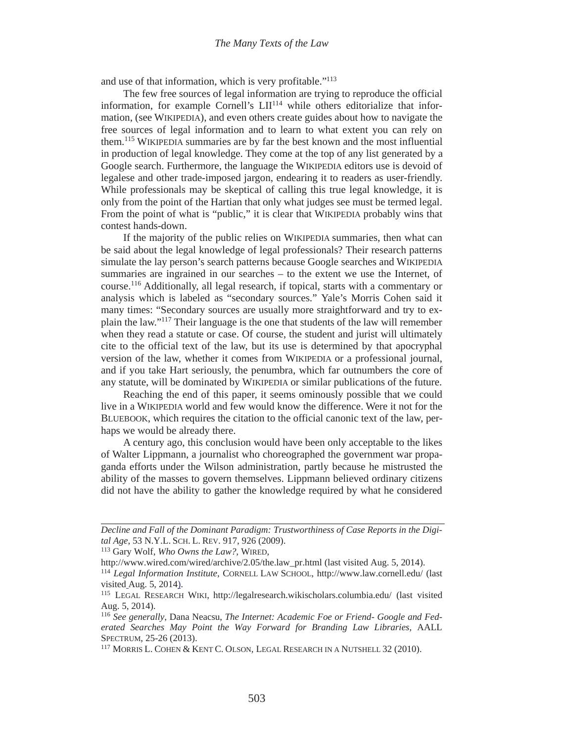and use of that information, which is very profitable."<sup>113</sup>

The few free sources of legal information are trying to reproduce the official information, for example Cornell's  $LI<sup>114</sup>$  while others editorialize that information, (see WIKIPEDIA), and even others create guides about how to navigate the free sources of legal information and to learn to what extent you can rely on them.115 WIKIPEDIA summaries are by far the best known and the most influential in production of legal knowledge. They come at the top of any list generated by a Google search. Furthermore, the language the WIKIPEDIA editors use is devoid of legalese and other trade-imposed jargon, endearing it to readers as user-friendly. While professionals may be skeptical of calling this true legal knowledge, it is only from the point of the Hartian that only what judges see must be termed legal. From the point of what is "public," it is clear that WIKIPEDIA probably wins that contest hands-down.

If the majority of the public relies on WIKIPEDIA summaries, then what can be said about the legal knowledge of legal professionals? Their research patterns simulate the lay person's search patterns because Google searches and WIKIPEDIA summaries are ingrained in our searches – to the extent we use the Internet, of course.116 Additionally, all legal research, if topical, starts with a commentary or analysis which is labeled as "secondary sources." Yale's Morris Cohen said it many times: "Secondary sources are usually more straightforward and try to explain the law."117 Their language is the one that students of the law will remember when they read a statute or case. Of course, the student and jurist will ultimately cite to the official text of the law, but its use is determined by that apocryphal version of the law, whether it comes from WIKIPEDIA or a professional journal, and if you take Hart seriously, the penumbra, which far outnumbers the core of any statute, will be dominated by WIKIPEDIA or similar publications of the future.

Reaching the end of this paper, it seems ominously possible that we could live in a WIKIPEDIA world and few would know the difference. Were it not for the BLUEBOOK, which requires the citation to the official canonic text of the law, perhaps we would be already there.

A century ago, this conclusion would have been only acceptable to the likes of Walter Lippmann, a journalist who choreographed the government war propaganda efforts under the Wilson administration, partly because he mistrusted the ability of the masses to govern themselves. Lippmann believed ordinary citizens did not have the ability to gather the knowledge required by what he considered

*Decline and Fall of the Dominant Paradigm: Trustworthiness of Case Reports in the Digital Age*, 53 N.Y.L. SCH. L. REV. 917, 926 (2009).

<sup>113</sup> Gary Wolf, *Who Owns the Law?*, WIRED,

http://www.wired.com/wired/archive/2.05/the.law\_pr.html (last visited Aug. 5, 2014).

<sup>114</sup> *Legal Information Institute*, CORNELL LAW SCHOOL, http://www.law.cornell.edu/ (last visited\_Aug. 5, 2014).<br><sup>115</sup> LEGAL RESEARCH WIKI, http://legalresearch.wikischolars.columbia.edu/ (last visited

Aug. 5, 2014).

<sup>116</sup> *See generally*, Dana Neacsu, *The Internet: Academic Foe or Friend- Google and Federated Searches May Point the Way Forward for Branding Law Libraries,* AALL SPECTRUM, 25-26 (2013).

<sup>117</sup> MORRIS L. COHEN & KENT C. OLSON, LEGAL RESEARCH IN A NUTSHELL 32 (2010).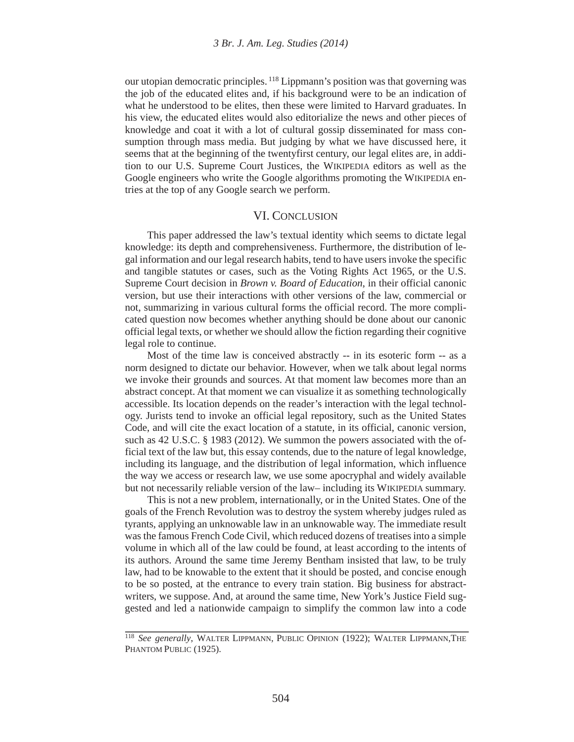our utopian democratic principles. 118 Lippmann's position was that governing was the job of the educated elites and, if his background were to be an indication of what he understood to be elites, then these were limited to Harvard graduates. In his view, the educated elites would also editorialize the news and other pieces of knowledge and coat it with a lot of cultural gossip disseminated for mass consumption through mass media. But judging by what we have discussed here, it seems that at the beginning of the twentyfirst century, our legal elites are, in addition to our U.S. Supreme Court Justices, the WIKIPEDIA editors as well as the Google engineers who write the Google algorithms promoting the WIKIPEDIA entries at the top of any Google search we perform.

#### VI. CONCLUSION

This paper addressed the law's textual identity which seems to dictate legal knowledge: its depth and comprehensiveness. Furthermore, the distribution of legal information and our legal research habits, tend to have users invoke the specific and tangible statutes or cases, such as the Voting Rights Act 1965*,* or the U.S. Supreme Court decision in *Brown v. Board of Education*, in their official canonic version, but use their interactions with other versions of the law, commercial or not, summarizing in various cultural forms the official record. The more complicated question now becomes whether anything should be done about our canonic official legal texts, or whether we should allow the fiction regarding their cognitive legal role to continue.

Most of the time law is conceived abstractly -- in its esoteric form -- as a norm designed to dictate our behavior. However, when we talk about legal norms we invoke their grounds and sources. At that moment law becomes more than an abstract concept. At that moment we can visualize it as something technologically accessible. Its location depends on the reader's interaction with the legal technology. Jurists tend to invoke an official legal repository, such as the United States Code, and will cite the exact location of a statute, in its official, canonic version, such as 42 U.S.C. § 1983 (2012). We summon the powers associated with the official text of the law but, this essay contends, due to the nature of legal knowledge, including its language, and the distribution of legal information, which influence the way we access or research law, we use some apocryphal and widely available but not necessarily reliable version of the law– including its WIKIPEDIA summary.

This is not a new problem, internationally, or in the United States. One of the goals of the French Revolution was to destroy the system whereby judges ruled as tyrants, applying an unknowable law in an unknowable way. The immediate result was the famous French Code Civil, which reduced dozens of treatises into a simple volume in which all of the law could be found, at least according to the intents of its authors. Around the same time Jeremy Bentham insisted that law, to be truly law, had to be knowable to the extent that it should be posted, and concise enough to be so posted, at the entrance to every train station. Big business for abstractwriters, we suppose. And, at around the same time, New York's Justice Field suggested and led a nationwide campaign to simplify the common law into a code

<sup>118</sup> *See generally*, WALTER LIPPMANN, PUBLIC OPINION (1922); WALTER LIPPMANN,THE PHANTOM PUBLIC (1925).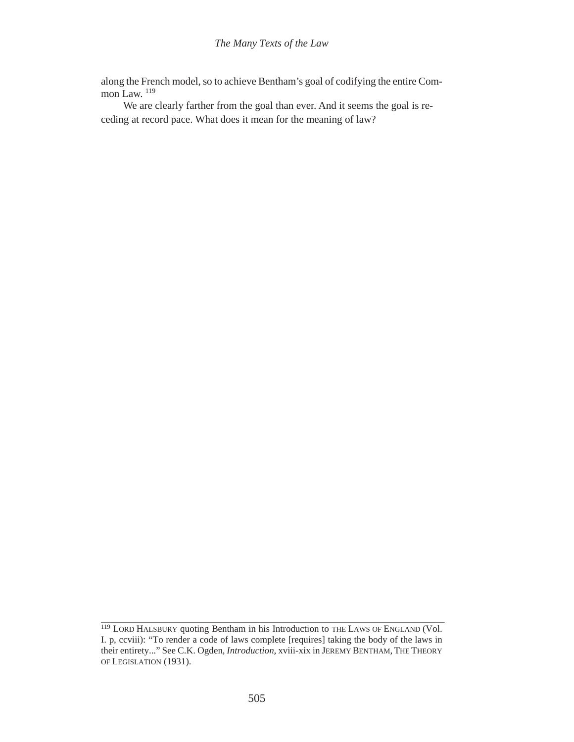along the French model, so to achieve Bentham's goal of codifying the entire Common Law.<sup>119</sup>

We are clearly farther from the goal than ever. And it seems the goal is receding at record pace. What does it mean for the meaning of law?

<sup>&</sup>lt;sup>119</sup> LORD HALSBURY quoting Bentham in his Introduction to THE LAWS OF ENGLAND (Vol. I. p, ccviii): "To render a code of laws complete [requires] taking the body of the laws in their entirety..." See C.K. Ogden, *Introduction*, xviii-xix in JEREMY BENTHAM, THE THEORY OF LEGISLATION (1931).